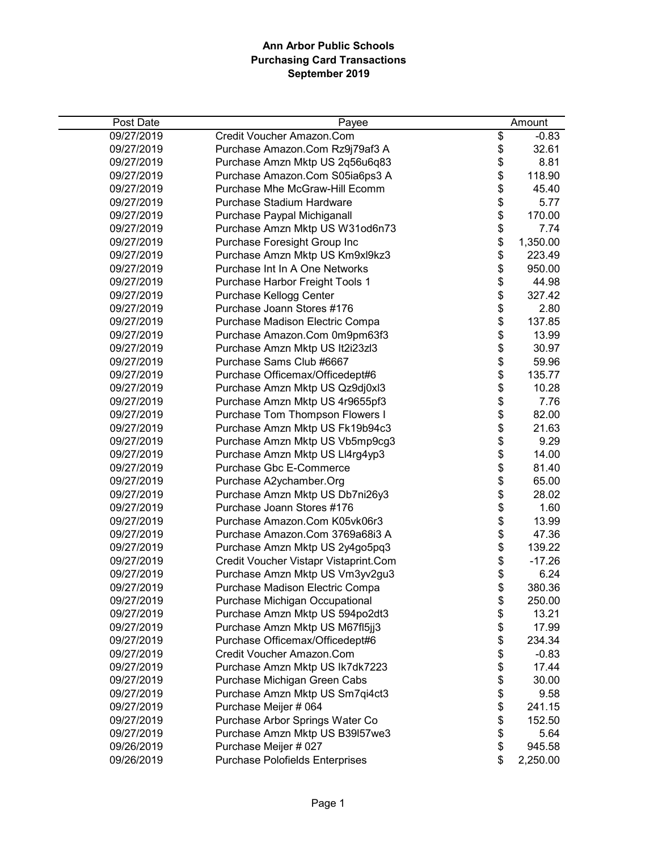| Post Date  | Payee                                  | Amount         |
|------------|----------------------------------------|----------------|
| 09/27/2019 | Credit Voucher Amazon.Com              | \$<br>$-0.83$  |
| 09/27/2019 | Purchase Amazon.Com Rz9j79af3 A        | \$<br>32.61    |
| 09/27/2019 | Purchase Amzn Mktp US 2q56u6q83        | \$<br>8.81     |
| 09/27/2019 | Purchase Amazon.Com S05ia6ps3 A        | \$<br>118.90   |
| 09/27/2019 | Purchase Mhe McGraw-Hill Ecomm         | \$<br>45.40    |
| 09/27/2019 | Purchase Stadium Hardware              | \$<br>5.77     |
| 09/27/2019 | Purchase Paypal Michiganall            | \$<br>170.00   |
| 09/27/2019 | Purchase Amzn Mktp US W31od6n73        | \$<br>7.74     |
| 09/27/2019 | Purchase Foresight Group Inc           | \$<br>1,350.00 |
| 09/27/2019 | Purchase Amzn Mktp US Km9xl9kz3        | \$<br>223.49   |
| 09/27/2019 | Purchase Int In A One Networks         | \$<br>950.00   |
| 09/27/2019 | Purchase Harbor Freight Tools 1        | \$<br>44.98    |
| 09/27/2019 | Purchase Kellogg Center                | \$<br>327.42   |
| 09/27/2019 | Purchase Joann Stores #176             | \$<br>2.80     |
| 09/27/2019 | Purchase Madison Electric Compa        | \$<br>137.85   |
| 09/27/2019 | Purchase Amazon.Com 0m9pm63f3          | \$<br>13.99    |
| 09/27/2019 | Purchase Amzn Mktp US It2i23zl3        | \$<br>30.97    |
| 09/27/2019 | Purchase Sams Club #6667               | \$<br>59.96    |
| 09/27/2019 | Purchase Officemax/Officedept#6        | \$<br>135.77   |
| 09/27/2019 | Purchase Amzn Mktp US Qz9dj0xl3        | \$<br>10.28    |
| 09/27/2019 | Purchase Amzn Mktp US 4r9655pf3        | \$<br>7.76     |
| 09/27/2019 | Purchase Tom Thompson Flowers I        | \$<br>82.00    |
| 09/27/2019 | Purchase Amzn Mktp US Fk19b94c3        | \$<br>21.63    |
| 09/27/2019 | Purchase Amzn Mktp US Vb5mp9cg3        | \$<br>9.29     |
| 09/27/2019 | Purchase Amzn Mktp US Ll4rg4yp3        | \$<br>14.00    |
| 09/27/2019 | Purchase Gbc E-Commerce                | \$<br>81.40    |
| 09/27/2019 | Purchase A2ychamber.Org                | \$<br>65.00    |
| 09/27/2019 | Purchase Amzn Mktp US Db7ni26y3        | \$<br>28.02    |
| 09/27/2019 | Purchase Joann Stores #176             | \$<br>1.60     |
| 09/27/2019 | Purchase Amazon.Com K05vk06r3          | \$<br>13.99    |
| 09/27/2019 | Purchase Amazon.Com 3769a68i3 A        | \$<br>47.36    |
| 09/27/2019 | Purchase Amzn Mktp US 2y4go5pq3        | \$<br>139.22   |
| 09/27/2019 | Credit Voucher Vistapr Vistaprint.Com  | \$<br>$-17.26$ |
| 09/27/2019 | Purchase Amzn Mktp US Vm3yv2gu3        | \$<br>6.24     |
| 09/27/2019 | Purchase Madison Electric Compa        | \$<br>380.36   |
| 09/27/2019 | Purchase Michigan Occupational         | \$<br>250.00   |
| 09/27/2019 | Purchase Amzn Mktp US 594po2dt3        | \$<br>13.21    |
| 09/27/2019 | Purchase Amzn Mktp US M67fl5jj3        | \$<br>17.99    |
| 09/27/2019 | Purchase Officemax/Officedept#6        | \$<br>234.34   |
| 09/27/2019 | Credit Voucher Amazon.Com              | \$<br>$-0.83$  |
| 09/27/2019 | Purchase Amzn Mktp US Ik7dk7223        | \$<br>17.44    |
| 09/27/2019 | Purchase Michigan Green Cabs           | \$<br>30.00    |
| 09/27/2019 | Purchase Amzn Mktp US Sm7qi4ct3        | \$<br>9.58     |
| 09/27/2019 | Purchase Meijer # 064                  | \$<br>241.15   |
| 09/27/2019 | Purchase Arbor Springs Water Co        | \$<br>152.50   |
| 09/27/2019 | Purchase Amzn Mktp US B39l57we3        | \$<br>5.64     |
| 09/26/2019 | Purchase Meijer # 027                  | \$<br>945.58   |
| 09/26/2019 | <b>Purchase Polofields Enterprises</b> | \$<br>2,250.00 |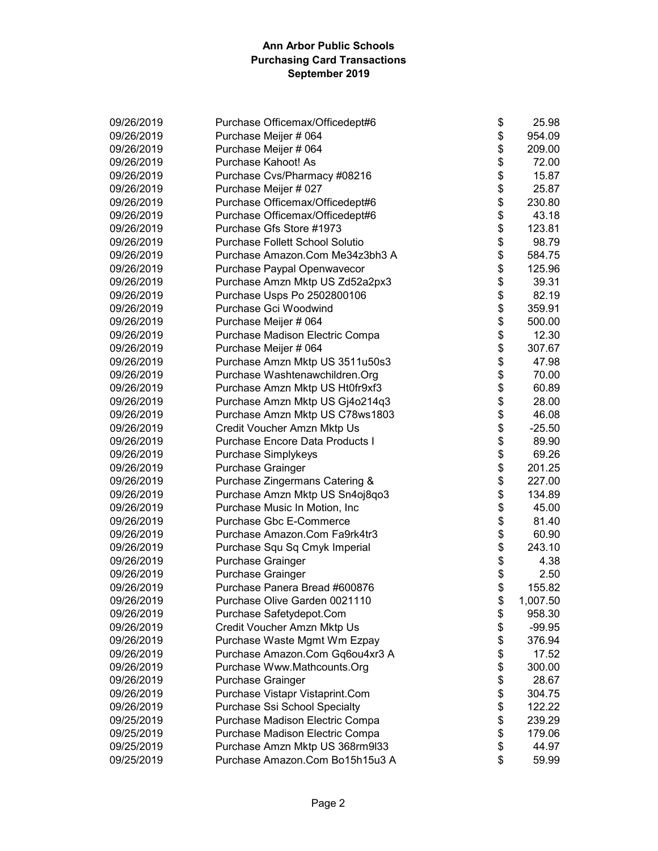| 09/26/2019 | Purchase Officemax/Officedept#6        | \$<br>25.98    |
|------------|----------------------------------------|----------------|
| 09/26/2019 | Purchase Meijer # 064                  | \$<br>954.09   |
| 09/26/2019 | Purchase Meijer # 064                  | \$<br>209.00   |
| 09/26/2019 | Purchase Kahoot! As                    | \$<br>72.00    |
| 09/26/2019 | Purchase Cvs/Pharmacy #08216           | \$<br>15.87    |
| 09/26/2019 | Purchase Meijer # 027                  | \$<br>25.87    |
| 09/26/2019 | Purchase Officemax/Officedept#6        | \$<br>230.80   |
| 09/26/2019 | Purchase Officemax/Officedept#6        | \$<br>43.18    |
| 09/26/2019 | Purchase Gfs Store #1973               | \$<br>123.81   |
| 09/26/2019 | <b>Purchase Follett School Solutio</b> | \$<br>98.79    |
| 09/26/2019 | Purchase Amazon.Com Me34z3bh3 A        | \$<br>584.75   |
| 09/26/2019 | Purchase Paypal Openwavecor            | \$<br>125.96   |
| 09/26/2019 | Purchase Amzn Mktp US Zd52a2px3        | \$<br>39.31    |
| 09/26/2019 | Purchase Usps Po 2502800106            | \$<br>82.19    |
| 09/26/2019 | Purchase Gci Woodwind                  | \$<br>359.91   |
| 09/26/2019 | Purchase Meijer # 064                  | \$<br>500.00   |
| 09/26/2019 | Purchase Madison Electric Compa        | \$<br>12.30    |
| 09/26/2019 | Purchase Meijer # 064                  | \$<br>307.67   |
| 09/26/2019 | Purchase Amzn Mktp US 3511u50s3        | \$<br>47.98    |
| 09/26/2019 | Purchase Washtenawchildren.Org         | \$<br>70.00    |
| 09/26/2019 | Purchase Amzn Mktp US Ht0fr9xf3        | \$<br>60.89    |
| 09/26/2019 | Purchase Amzn Mktp US Gj4o214q3        | \$<br>28.00    |
| 09/26/2019 | Purchase Amzn Mktp US C78ws1803        | \$<br>46.08    |
| 09/26/2019 | Credit Voucher Amzn Mktp Us            | \$<br>$-25.50$ |
| 09/26/2019 | Purchase Encore Data Products I        | \$<br>89.90    |
| 09/26/2019 | Purchase Simplykeys                    | \$<br>69.26    |
| 09/26/2019 | Purchase Grainger                      | \$<br>201.25   |
| 09/26/2019 | Purchase Zingermans Catering &         | \$<br>227.00   |
| 09/26/2019 | Purchase Amzn Mktp US Sn4oj8qo3        | \$<br>134.89   |
| 09/26/2019 | Purchase Music In Motion, Inc          | \$<br>45.00    |
| 09/26/2019 | Purchase Gbc E-Commerce                | \$<br>81.40    |
| 09/26/2019 | Purchase Amazon.Com Fa9rk4tr3          | \$<br>60.90    |
| 09/26/2019 | Purchase Squ Sq Cmyk Imperial          | \$<br>243.10   |
| 09/26/2019 | Purchase Grainger                      | \$<br>4.38     |
| 09/26/2019 | Purchase Grainger                      | \$<br>2.50     |
| 09/26/2019 | Purchase Panera Bread #600876          | \$<br>155.82   |
| 09/26/2019 | Purchase Olive Garden 0021110          | \$<br>1,007.50 |
| 09/26/2019 | Purchase Safetydepot.Com               | \$<br>958.30   |
| 09/26/2019 | Credit Voucher Amzn Mktp Us            | \$<br>$-99.95$ |
| 09/26/2019 | Purchase Waste Mgmt Wm Ezpay           | \$<br>376.94   |
| 09/26/2019 | Purchase Amazon.Com Gq6ou4xr3 A        | \$<br>17.52    |
| 09/26/2019 | Purchase Www.Mathcounts.Org            | \$<br>300.00   |
| 09/26/2019 | <b>Purchase Grainger</b>               | \$<br>28.67    |
| 09/26/2019 | Purchase Vistapr Vistaprint.Com        | \$<br>304.75   |
| 09/26/2019 | Purchase Ssi School Specialty          | \$<br>122.22   |
| 09/25/2019 | Purchase Madison Electric Compa        | \$<br>239.29   |
| 09/25/2019 | Purchase Madison Electric Compa        | \$<br>179.06   |
| 09/25/2019 | Purchase Amzn Mktp US 368rm9l33        | \$<br>44.97    |
| 09/25/2019 | Purchase Amazon.Com Bo15h15u3 A        | \$<br>59.99    |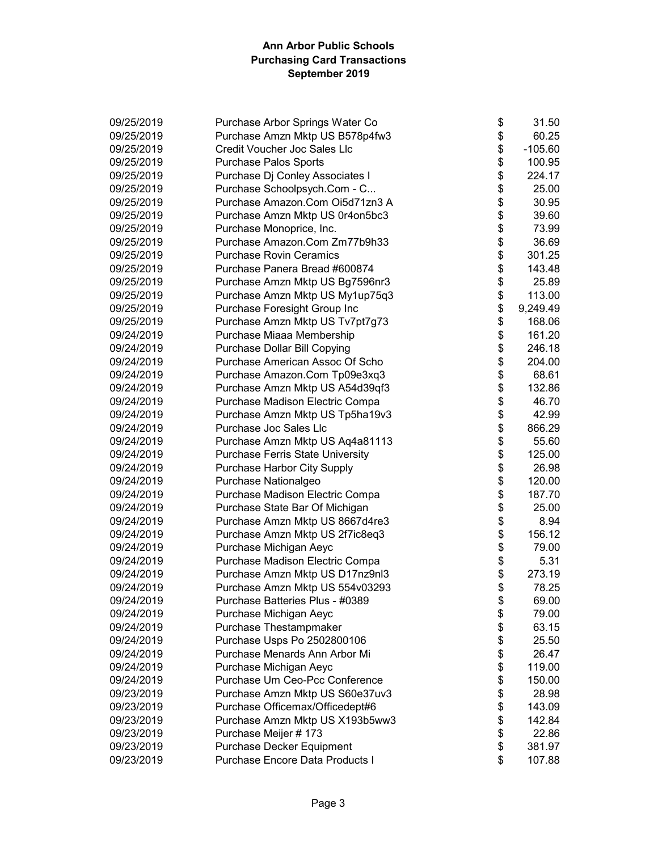| 09/25/2019 | Purchase Arbor Springs Water Co     | \$       | 31.50     |
|------------|-------------------------------------|----------|-----------|
| 09/25/2019 | Purchase Amzn Mktp US B578p4fw3     | \$       | 60.25     |
| 09/25/2019 | <b>Credit Voucher Joc Sales Llc</b> | \$       | $-105.60$ |
| 09/25/2019 | <b>Purchase Palos Sports</b>        | \$       | 100.95    |
| 09/25/2019 | Purchase Dj Conley Associates I     | \$       | 224.17    |
| 09/25/2019 | Purchase Schoolpsych.Com - C        | \$<br>\$ | 25.00     |
| 09/25/2019 | Purchase Amazon.Com Oi5d71zn3 A     |          | 30.95     |
| 09/25/2019 | Purchase Amzn Mktp US 0r4on5bc3     | \$       | 39.60     |
| 09/25/2019 | Purchase Monoprice, Inc.            | \$       | 73.99     |
| 09/25/2019 | Purchase Amazon.Com Zm77b9h33       | \$       | 36.69     |
| 09/25/2019 | <b>Purchase Rovin Ceramics</b>      | \$       | 301.25    |
| 09/25/2019 | Purchase Panera Bread #600874       | \$       | 143.48    |
| 09/25/2019 | Purchase Amzn Mktp US Bg7596nr3     | \$       | 25.89     |
| 09/25/2019 | Purchase Amzn Mktp US My1up75q3     | \$       | 113.00    |
| 09/25/2019 | Purchase Foresight Group Inc        | \$       | 9,249.49  |
| 09/25/2019 | Purchase Amzn Mktp US Tv7pt7g73     | \$       | 168.06    |
| 09/24/2019 | Purchase Miaaa Membership           | \$       | 161.20    |
| 09/24/2019 | Purchase Dollar Bill Copying        | \$       | 246.18    |
| 09/24/2019 | Purchase American Assoc Of Scho     | \$       | 204.00    |
| 09/24/2019 | Purchase Amazon.Com Tp09e3xq3       | \$       | 68.61     |
| 09/24/2019 | Purchase Amzn Mktp US A54d39qf3     | \$       | 132.86    |
| 09/24/2019 | Purchase Madison Electric Compa     | \$       | 46.70     |
| 09/24/2019 | Purchase Amzn Mktp US Tp5ha19v3     | \$       | 42.99     |
| 09/24/2019 | Purchase Joc Sales Llc              | \$       | 866.29    |
| 09/24/2019 | Purchase Amzn Mktp US Aq4a81113     | \$       | 55.60     |
| 09/24/2019 | Purchase Ferris State University    | \$       | 125.00    |
| 09/24/2019 | Purchase Harbor City Supply         | \$       | 26.98     |
| 09/24/2019 | Purchase Nationalgeo                | \$       | 120.00    |
| 09/24/2019 | Purchase Madison Electric Compa     | \$       | 187.70    |
| 09/24/2019 | Purchase State Bar Of Michigan      | \$       | 25.00     |
| 09/24/2019 | Purchase Amzn Mktp US 8667d4re3     | \$       | 8.94      |
| 09/24/2019 | Purchase Amzn Mktp US 2f7ic8eq3     | \$       | 156.12    |
| 09/24/2019 | Purchase Michigan Aeyc              | \$       | 79.00     |
| 09/24/2019 | Purchase Madison Electric Compa     | \$       | 5.31      |
| 09/24/2019 | Purchase Amzn Mktp US D17nz9nl3     | \$       | 273.19    |
| 09/24/2019 | Purchase Amzn Mktp US 554v03293     | \$       | 78.25     |
| 09/24/2019 | Purchase Batteries Plus - #0389     | \$       | 69.00     |
| 09/24/2019 | Purchase Michigan Aeyc              | \$       | 79.00     |
| 09/24/2019 | Purchase Thestampmaker              | \$       | 63.15     |
| 09/24/2019 | Purchase Usps Po 2502800106         | \$       | 25.50     |
| 09/24/2019 | Purchase Menards Ann Arbor Mi       | \$       | 26.47     |
| 09/24/2019 | Purchase Michigan Aeyc              | \$       | 119.00    |
| 09/24/2019 | Purchase Um Ceo-Pcc Conference      | \$       | 150.00    |
| 09/23/2019 | Purchase Amzn Mktp US S60e37uv3     | \$       | 28.98     |
| 09/23/2019 | Purchase Officemax/Officedept#6     | \$       | 143.09    |
| 09/23/2019 | Purchase Amzn Mktp US X193b5ww3     | \$       | 142.84    |
| 09/23/2019 | Purchase Meijer # 173               | \$       | 22.86     |
| 09/23/2019 | Purchase Decker Equipment           | \$       | 381.97    |
| 09/23/2019 | Purchase Encore Data Products I     | \$       | 107.88    |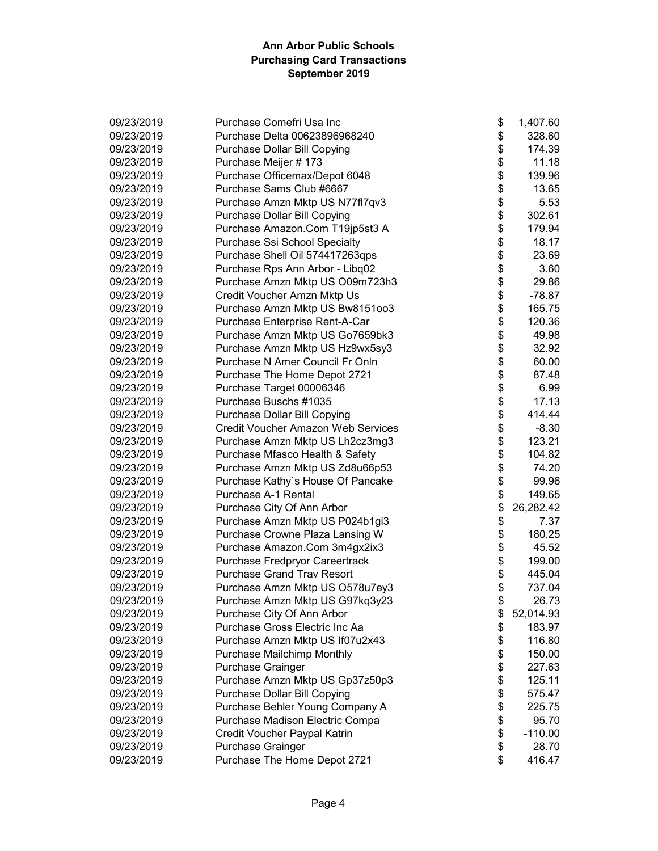| 09/23/2019 | Purchase Comefri Usa Inc                  | \$ | 1,407.60  |
|------------|-------------------------------------------|----|-----------|
| 09/23/2019 | Purchase Delta 00623896968240             | \$ | 328.60    |
| 09/23/2019 | <b>Purchase Dollar Bill Copying</b>       | \$ | 174.39    |
| 09/23/2019 | Purchase Meijer # 173                     | \$ | 11.18     |
| 09/23/2019 | Purchase Officemax/Depot 6048             | \$ | 139.96    |
| 09/23/2019 | Purchase Sams Club #6667                  | \$ | 13.65     |
| 09/23/2019 | Purchase Amzn Mktp US N77fl7qv3           | \$ | 5.53      |
| 09/23/2019 | Purchase Dollar Bill Copying              | \$ | 302.61    |
| 09/23/2019 | Purchase Amazon.Com T19jp5st3 A           | \$ | 179.94    |
| 09/23/2019 | Purchase Ssi School Specialty             | \$ | 18.17     |
| 09/23/2019 | Purchase Shell Oil 574417263qps           | \$ | 23.69     |
| 09/23/2019 | Purchase Rps Ann Arbor - Libq02           | \$ | 3.60      |
| 09/23/2019 | Purchase Amzn Mktp US O09m723h3           | \$ | 29.86     |
| 09/23/2019 | Credit Voucher Amzn Mktp Us               | \$ | -78.87    |
| 09/23/2019 | Purchase Amzn Mktp US Bw8151003           | \$ | 165.75    |
| 09/23/2019 | Purchase Enterprise Rent-A-Car            | \$ | 120.36    |
| 09/23/2019 | Purchase Amzn Mktp US Go7659bk3           | \$ | 49.98     |
| 09/23/2019 | Purchase Amzn Mktp US Hz9wx5sy3           | \$ | 32.92     |
| 09/23/2019 | Purchase N Amer Council Fr Onln           | \$ | 60.00     |
| 09/23/2019 | Purchase The Home Depot 2721              | \$ | 87.48     |
| 09/23/2019 | Purchase Target 00006346                  | \$ | 6.99      |
| 09/23/2019 | Purchase Buschs #1035                     | \$ | 17.13     |
| 09/23/2019 | <b>Purchase Dollar Bill Copying</b>       | \$ | 414.44    |
| 09/23/2019 | <b>Credit Voucher Amazon Web Services</b> | \$ | $-8.30$   |
| 09/23/2019 | Purchase Amzn Mktp US Lh2cz3mg3           | \$ | 123.21    |
| 09/23/2019 | Purchase Mfasco Health & Safety           | \$ | 104.82    |
| 09/23/2019 | Purchase Amzn Mktp US Zd8u66p53           | \$ | 74.20     |
| 09/23/2019 | Purchase Kathy's House Of Pancake         | \$ | 99.96     |
| 09/23/2019 | Purchase A-1 Rental                       | \$ | 149.65    |
| 09/23/2019 | Purchase City Of Ann Arbor                | \$ | 26,282.42 |
| 09/23/2019 | Purchase Amzn Mktp US P024b1gi3           | \$ | 7.37      |
| 09/23/2019 | Purchase Crowne Plaza Lansing W           | \$ | 180.25    |
| 09/23/2019 | Purchase Amazon.Com 3m4gx2ix3             | \$ | 45.52     |
| 09/23/2019 | Purchase Fredpryor Careertrack            | \$ | 199.00    |
| 09/23/2019 | <b>Purchase Grand Trav Resort</b>         | \$ | 445.04    |
| 09/23/2019 | Purchase Amzn Mktp US O578u7ey3           | \$ | 737.04    |
| 09/23/2019 | Purchase Amzn Mktp US G97kq3y23           | Φ  | 26.73     |
| 09/23/2019 | Purchase City Of Ann Arbor                | \$ | 52,014.93 |
| 09/23/2019 | Purchase Gross Electric Inc Aa            | \$ | 183.97    |
| 09/23/2019 | Purchase Amzn Mktp US If07u2x43           | \$ | 116.80    |
| 09/23/2019 | Purchase Mailchimp Monthly                | \$ | 150.00    |
| 09/23/2019 | <b>Purchase Grainger</b>                  | \$ | 227.63    |
| 09/23/2019 | Purchase Amzn Mktp US Gp37z50p3           | \$ | 125.11    |
| 09/23/2019 | Purchase Dollar Bill Copying              | \$ | 575.47    |
| 09/23/2019 | Purchase Behler Young Company A           | \$ | 225.75    |
| 09/23/2019 | Purchase Madison Electric Compa           | \$ | 95.70     |
| 09/23/2019 | Credit Voucher Paypal Katrin              | \$ | $-110.00$ |
| 09/23/2019 | Purchase Grainger                         | \$ | 28.70     |
| 09/23/2019 | Purchase The Home Depot 2721              | \$ | 416.47    |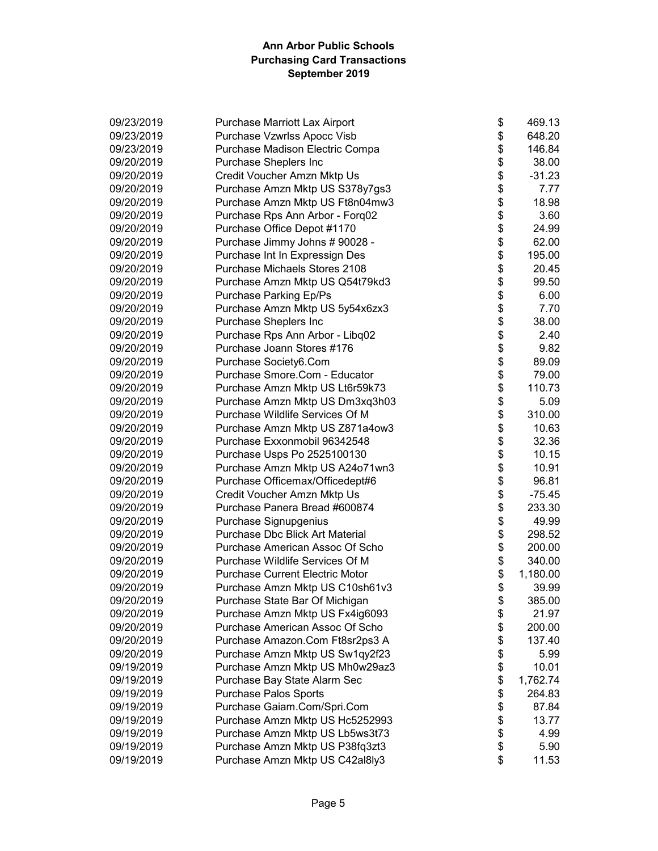| 09/23/2019 | Purchase Marriott Lax Airport          | \$<br>469.13   |
|------------|----------------------------------------|----------------|
| 09/23/2019 | Purchase Vzwrlss Apocc Visb            | \$<br>648.20   |
| 09/23/2019 | Purchase Madison Electric Compa        | \$<br>146.84   |
| 09/20/2019 | Purchase Sheplers Inc                  | \$<br>38.00    |
| 09/20/2019 | Credit Voucher Amzn Mktp Us            | \$<br>$-31.23$ |
| 09/20/2019 | Purchase Amzn Mktp US S378y7gs3        | \$<br>7.77     |
| 09/20/2019 | Purchase Amzn Mktp US Ft8n04mw3        | \$<br>18.98    |
| 09/20/2019 | Purchase Rps Ann Arbor - Forq02        | \$<br>3.60     |
| 09/20/2019 | Purchase Office Depot #1170            | \$<br>24.99    |
| 09/20/2019 | Purchase Jimmy Johns # 90028 -         | \$<br>62.00    |
| 09/20/2019 | Purchase Int In Expressign Des         | \$<br>195.00   |
| 09/20/2019 | <b>Purchase Michaels Stores 2108</b>   | \$<br>20.45    |
| 09/20/2019 | Purchase Amzn Mktp US Q54t79kd3        | \$<br>99.50    |
| 09/20/2019 | <b>Purchase Parking Ep/Ps</b>          | \$<br>6.00     |
| 09/20/2019 | Purchase Amzn Mktp US 5y54x6zx3        | \$<br>7.70     |
| 09/20/2019 | Purchase Sheplers Inc                  | \$<br>38.00    |
| 09/20/2019 | Purchase Rps Ann Arbor - Libq02        | \$<br>2.40     |
| 09/20/2019 | Purchase Joann Stores #176             | \$<br>9.82     |
| 09/20/2019 | Purchase Society6.Com                  | \$<br>89.09    |
| 09/20/2019 | Purchase Smore.Com - Educator          | \$<br>79.00    |
| 09/20/2019 | Purchase Amzn Mktp US Lt6r59k73        | \$<br>110.73   |
| 09/20/2019 | Purchase Amzn Mktp US Dm3xq3h03        | \$<br>5.09     |
| 09/20/2019 | Purchase Wildlife Services Of M        | \$<br>310.00   |
| 09/20/2019 | Purchase Amzn Mktp US Z871a4ow3        | \$<br>10.63    |
| 09/20/2019 | Purchase Exxonmobil 96342548           | \$<br>32.36    |
| 09/20/2019 | Purchase Usps Po 2525100130            | \$<br>10.15    |
| 09/20/2019 | Purchase Amzn Mktp US A24o71wn3        | \$<br>10.91    |
| 09/20/2019 | Purchase Officemax/Officedept#6        | \$<br>96.81    |
| 09/20/2019 | Credit Voucher Amzn Mktp Us            | \$<br>$-75.45$ |
| 09/20/2019 | Purchase Panera Bread #600874          | \$<br>233.30   |
| 09/20/2019 | Purchase Signupgenius                  | \$<br>49.99    |
| 09/20/2019 | <b>Purchase Dbc Blick Art Material</b> | \$<br>298.52   |
| 09/20/2019 | Purchase American Assoc Of Scho        | \$<br>200.00   |
| 09/20/2019 | Purchase Wildlife Services Of M        | \$<br>340.00   |
| 09/20/2019 | Purchase Current Electric Motor        | \$<br>1,180.00 |
| 09/20/2019 | Purchase Amzn Mktp US C10sh61v3        | \$<br>39.99    |
| 09/20/2019 | Purchase State Bar Of Michigan         | \$<br>385.00   |
| 09/20/2019 | Purchase Amzn Mktp US Fx4ig6093        | \$<br>21.97    |
| 09/20/2019 | Purchase American Assoc Of Scho        | \$<br>200.00   |
| 09/20/2019 | Purchase Amazon.Com Ft8sr2ps3 A        | \$<br>137.40   |
| 09/20/2019 | Purchase Amzn Mktp US Sw1qy2f23        | \$<br>5.99     |
| 09/19/2019 | Purchase Amzn Mktp US Mh0w29az3        | \$<br>10.01    |
| 09/19/2019 | Purchase Bay State Alarm Sec           | \$<br>1,762.74 |
| 09/19/2019 | <b>Purchase Palos Sports</b>           | \$<br>264.83   |
| 09/19/2019 | Purchase Gaiam.Com/Spri.Com            | \$<br>87.84    |
| 09/19/2019 | Purchase Amzn Mktp US Hc5252993        | \$<br>13.77    |
| 09/19/2019 | Purchase Amzn Mktp US Lb5ws3t73        | \$<br>4.99     |
| 09/19/2019 | Purchase Amzn Mktp US P38fq3zt3        | \$<br>5.90     |
| 09/19/2019 | Purchase Amzn Mktp US C42al8ly3        | \$<br>11.53    |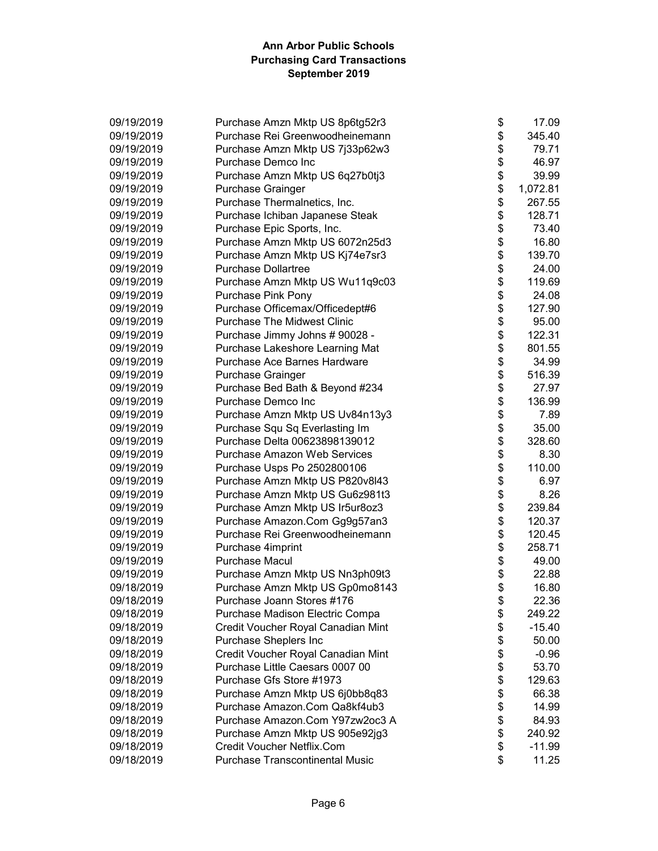| 09/19/2019 | Purchase Amzn Mktp US 8p6tg52r3        | \$<br>17.09    |
|------------|----------------------------------------|----------------|
| 09/19/2019 | Purchase Rei Greenwoodheinemann        | \$<br>345.40   |
| 09/19/2019 | Purchase Amzn Mktp US 7j33p62w3        | \$<br>79.71    |
| 09/19/2019 | Purchase Demco Inc                     | \$<br>46.97    |
| 09/19/2019 | Purchase Amzn Mktp US 6q27b0tj3        | \$<br>39.99    |
| 09/19/2019 | <b>Purchase Grainger</b>               | \$<br>1,072.81 |
| 09/19/2019 | Purchase Thermalnetics, Inc.           | \$<br>267.55   |
| 09/19/2019 | Purchase Ichiban Japanese Steak        | \$<br>128.71   |
| 09/19/2019 | Purchase Epic Sports, Inc.             | \$<br>73.40    |
| 09/19/2019 | Purchase Amzn Mktp US 6072n25d3        | \$<br>16.80    |
| 09/19/2019 | Purchase Amzn Mktp US Kj74e7sr3        | \$<br>139.70   |
| 09/19/2019 | <b>Purchase Dollartree</b>             | \$<br>24.00    |
| 09/19/2019 | Purchase Amzn Mktp US Wu11q9c03        | \$<br>119.69   |
| 09/19/2019 | Purchase Pink Pony                     | \$<br>24.08    |
| 09/19/2019 | Purchase Officemax/Officedept#6        | \$<br>127.90   |
| 09/19/2019 | <b>Purchase The Midwest Clinic</b>     | \$<br>95.00    |
| 09/19/2019 | Purchase Jimmy Johns # 90028 -         | \$<br>122.31   |
| 09/19/2019 | Purchase Lakeshore Learning Mat        | \$<br>801.55   |
| 09/19/2019 | Purchase Ace Barnes Hardware           | \$<br>34.99    |
| 09/19/2019 | Purchase Grainger                      | \$<br>516.39   |
| 09/19/2019 | Purchase Bed Bath & Beyond #234        | \$<br>27.97    |
| 09/19/2019 | Purchase Demco Inc                     | \$<br>136.99   |
| 09/19/2019 | Purchase Amzn Mktp US Uv84n13y3        | \$<br>7.89     |
| 09/19/2019 | Purchase Squ Sq Everlasting Im         | \$<br>35.00    |
| 09/19/2019 | Purchase Delta 00623898139012          | \$<br>328.60   |
| 09/19/2019 | <b>Purchase Amazon Web Services</b>    | \$<br>8.30     |
| 09/19/2019 | Purchase Usps Po 2502800106            | \$<br>110.00   |
| 09/19/2019 | Purchase Amzn Mktp US P820v8l43        | \$<br>6.97     |
| 09/19/2019 | Purchase Amzn Mktp US Gu6z981t3        | \$<br>8.26     |
| 09/19/2019 | Purchase Amzn Mktp US Ir5ur8oz3        | \$<br>239.84   |
| 09/19/2019 | Purchase Amazon.Com Gg9g57an3          | \$<br>120.37   |
| 09/19/2019 | Purchase Rei Greenwoodheinemann        | \$<br>120.45   |
| 09/19/2019 | Purchase 4imprint                      | \$<br>258.71   |
| 09/19/2019 | <b>Purchase Macul</b>                  | \$<br>49.00    |
| 09/19/2019 | Purchase Amzn Mktp US Nn3ph09t3        | \$<br>22.88    |
| 09/18/2019 | Purchase Amzn Mktp US Gp0mo8143        | \$<br>16.80    |
| 09/18/2019 | Purchase Joann Stores #176             | \$<br>22.36    |
| 09/18/2019 | Purchase Madison Electric Compa        | \$<br>249.22   |
| 09/18/2019 | Credit Voucher Royal Canadian Mint     | \$<br>$-15.40$ |
| 09/18/2019 | Purchase Sheplers Inc                  | \$<br>50.00    |
| 09/18/2019 | Credit Voucher Royal Canadian Mint     | \$<br>$-0.96$  |
| 09/18/2019 | Purchase Little Caesars 0007 00        | \$<br>53.70    |
| 09/18/2019 | Purchase Gfs Store #1973               | \$<br>129.63   |
| 09/18/2019 | Purchase Amzn Mktp US 6j0bb8q83        | \$<br>66.38    |
| 09/18/2019 | Purchase Amazon.Com Qa8kf4ub3          | \$<br>14.99    |
| 09/18/2019 | Purchase Amazon.Com Y97zw2oc3 A        | \$<br>84.93    |
| 09/18/2019 | Purchase Amzn Mktp US 905e92jg3        | \$<br>240.92   |
| 09/18/2019 | Credit Voucher Netflix.Com             | \$<br>$-11.99$ |
| 09/18/2019 | <b>Purchase Transcontinental Music</b> | \$<br>11.25    |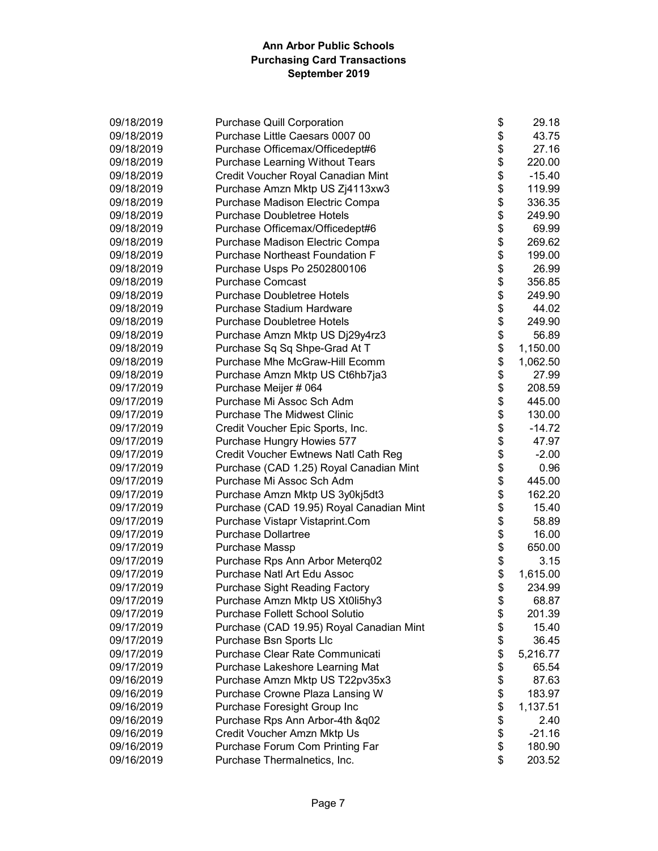| 09/18/2019 | <b>Purchase Quill Corporation</b>        | \$<br>29.18    |
|------------|------------------------------------------|----------------|
| 09/18/2019 | Purchase Little Caesars 0007 00          | \$<br>43.75    |
| 09/18/2019 | Purchase Officemax/Officedept#6          | \$<br>27.16    |
| 09/18/2019 | <b>Purchase Learning Without Tears</b>   | \$<br>220.00   |
| 09/18/2019 | Credit Voucher Royal Canadian Mint       | \$<br>$-15.40$ |
| 09/18/2019 | Purchase Amzn Mktp US Zj4113xw3          | \$<br>119.99   |
| 09/18/2019 | Purchase Madison Electric Compa          | \$<br>336.35   |
| 09/18/2019 | <b>Purchase Doubletree Hotels</b>        | \$<br>249.90   |
| 09/18/2019 | Purchase Officemax/Officedept#6          | \$<br>69.99    |
| 09/18/2019 | Purchase Madison Electric Compa          | \$<br>269.62   |
| 09/18/2019 | <b>Purchase Northeast Foundation F</b>   | \$<br>199.00   |
| 09/18/2019 | Purchase Usps Po 2502800106              | \$<br>26.99    |
| 09/18/2019 | <b>Purchase Comcast</b>                  | \$<br>356.85   |
| 09/18/2019 | <b>Purchase Doubletree Hotels</b>        | \$<br>249.90   |
| 09/18/2019 | Purchase Stadium Hardware                | \$<br>44.02    |
| 09/18/2019 | <b>Purchase Doubletree Hotels</b>        | \$<br>249.90   |
| 09/18/2019 | Purchase Amzn Mktp US Dj29y4rz3          | \$<br>56.89    |
| 09/18/2019 | Purchase Sq Sq Shpe-Grad At T            | \$<br>1,150.00 |
| 09/18/2019 | Purchase Mhe McGraw-Hill Ecomm           | \$<br>1,062.50 |
| 09/18/2019 | Purchase Amzn Mktp US Ct6hb7ja3          | \$<br>27.99    |
| 09/17/2019 | Purchase Meijer # 064                    | \$<br>208.59   |
| 09/17/2019 | Purchase Mi Assoc Sch Adm                | \$<br>445.00   |
| 09/17/2019 | <b>Purchase The Midwest Clinic</b>       | \$<br>130.00   |
| 09/17/2019 | Credit Voucher Epic Sports, Inc.         | \$<br>$-14.72$ |
| 09/17/2019 | Purchase Hungry Howies 577               | \$<br>47.97    |
| 09/17/2019 | Credit Voucher Ewtnews Natl Cath Reg     | \$<br>$-2.00$  |
| 09/17/2019 | Purchase (CAD 1.25) Royal Canadian Mint  | \$<br>0.96     |
| 09/17/2019 | Purchase Mi Assoc Sch Adm                | \$<br>445.00   |
| 09/17/2019 | Purchase Amzn Mktp US 3y0kj5dt3          | \$<br>162.20   |
| 09/17/2019 | Purchase (CAD 19.95) Royal Canadian Mint | \$<br>15.40    |
| 09/17/2019 | Purchase Vistapr Vistaprint.Com          | \$<br>58.89    |
| 09/17/2019 | <b>Purchase Dollartree</b>               | \$<br>16.00    |
| 09/17/2019 | Purchase Massp                           | \$<br>650.00   |
| 09/17/2019 | Purchase Rps Ann Arbor Meterq02          | \$<br>3.15     |
| 09/17/2019 | Purchase Natl Art Edu Assoc              | \$<br>1,615.00 |
| 09/17/2019 | Purchase Sight Reading Factory           | \$<br>234.99   |
| 09/17/2019 | Purchase Amzn Mktp US Xt0li5hy3          | \$<br>68.87    |
| 09/17/2019 | <b>Purchase Follett School Solutio</b>   | \$<br>201.39   |
| 09/17/2019 | Purchase (CAD 19.95) Royal Canadian Mint | \$<br>15.40    |
| 09/17/2019 | Purchase Bsn Sports Llc                  | \$<br>36.45    |
| 09/17/2019 | Purchase Clear Rate Communicati          | \$<br>5,216.77 |
| 09/17/2019 | Purchase Lakeshore Learning Mat          | \$<br>65.54    |
| 09/16/2019 | Purchase Amzn Mktp US T22pv35x3          | \$<br>87.63    |
| 09/16/2019 | Purchase Crowne Plaza Lansing W          | \$<br>183.97   |
| 09/16/2019 | Purchase Foresight Group Inc             | \$<br>1,137.51 |
| 09/16/2019 | Purchase Rps Ann Arbor-4th &q02          | \$<br>2.40     |
| 09/16/2019 | Credit Voucher Amzn Mktp Us              | \$<br>$-21.16$ |
| 09/16/2019 | Purchase Forum Com Printing Far          | \$<br>180.90   |
| 09/16/2019 | Purchase Thermalnetics, Inc.             | \$<br>203.52   |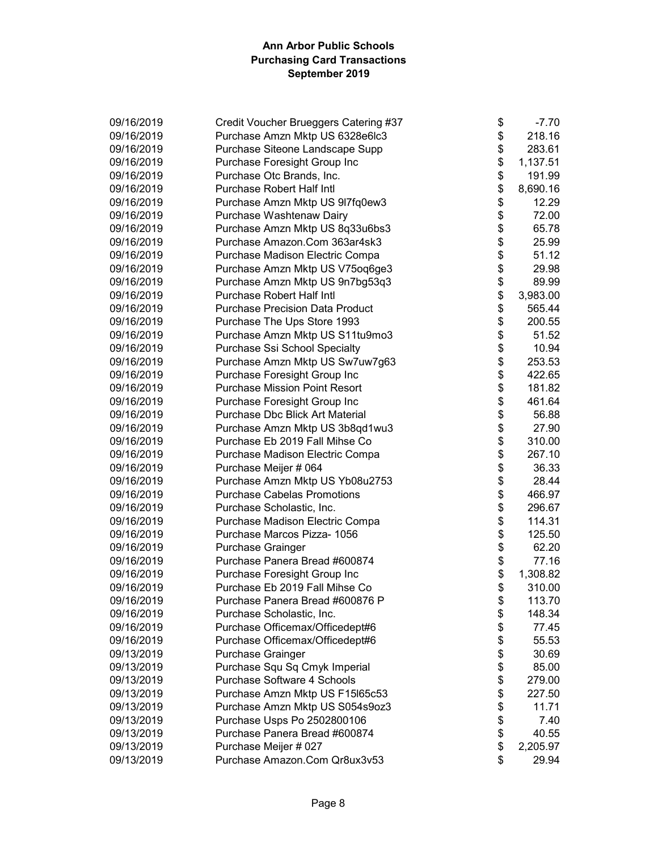| 09/16/2019 | Credit Voucher Brueggers Catering #37  | \$<br>$-7.70$  |
|------------|----------------------------------------|----------------|
| 09/16/2019 | Purchase Amzn Mktp US 6328e6lc3        | \$<br>218.16   |
| 09/16/2019 | Purchase Siteone Landscape Supp        | \$<br>283.61   |
| 09/16/2019 | Purchase Foresight Group Inc           | \$<br>1,137.51 |
| 09/16/2019 | Purchase Otc Brands, Inc.              | \$<br>191.99   |
| 09/16/2019 | <b>Purchase Robert Half Intl</b>       | \$<br>8,690.16 |
| 09/16/2019 | Purchase Amzn Mktp US 917fq0ew3        | \$<br>12.29    |
| 09/16/2019 | Purchase Washtenaw Dairy               | \$<br>72.00    |
| 09/16/2019 | Purchase Amzn Mktp US 8q33u6bs3        | \$<br>65.78    |
| 09/16/2019 | Purchase Amazon.Com 363ar4sk3          | \$<br>25.99    |
| 09/16/2019 | Purchase Madison Electric Compa        | \$<br>51.12    |
| 09/16/2019 | Purchase Amzn Mktp US V75oq6ge3        | \$<br>29.98    |
| 09/16/2019 | Purchase Amzn Mktp US 9n7bg53q3        | \$<br>89.99    |
| 09/16/2019 | <b>Purchase Robert Half Intl</b>       | \$<br>3,983.00 |
| 09/16/2019 | <b>Purchase Precision Data Product</b> | \$<br>565.44   |
| 09/16/2019 | Purchase The Ups Store 1993            | \$<br>200.55   |
| 09/16/2019 | Purchase Amzn Mktp US S11tu9mo3        | \$<br>51.52    |
| 09/16/2019 | Purchase Ssi School Specialty          | \$<br>10.94    |
| 09/16/2019 | Purchase Amzn Mktp US Sw7uw7g63        | \$<br>253.53   |
| 09/16/2019 | Purchase Foresight Group Inc           | \$<br>422.65   |
| 09/16/2019 | <b>Purchase Mission Point Resort</b>   | \$<br>181.82   |
| 09/16/2019 | Purchase Foresight Group Inc           | \$<br>461.64   |
| 09/16/2019 | Purchase Dbc Blick Art Material        | \$<br>56.88    |
| 09/16/2019 | Purchase Amzn Mktp US 3b8qd1wu3        | \$<br>27.90    |
| 09/16/2019 | Purchase Eb 2019 Fall Mihse Co         | \$<br>310.00   |
| 09/16/2019 | Purchase Madison Electric Compa        | \$<br>267.10   |
| 09/16/2019 | Purchase Meijer # 064                  | \$<br>36.33    |
| 09/16/2019 | Purchase Amzn Mktp US Yb08u2753        | \$<br>28.44    |
| 09/16/2019 | <b>Purchase Cabelas Promotions</b>     | \$<br>466.97   |
| 09/16/2019 | Purchase Scholastic, Inc.              | \$<br>296.67   |
| 09/16/2019 | Purchase Madison Electric Compa        | \$<br>114.31   |
| 09/16/2019 | Purchase Marcos Pizza- 1056            | \$<br>125.50   |
| 09/16/2019 | Purchase Grainger                      | \$<br>62.20    |
| 09/16/2019 | Purchase Panera Bread #600874          | \$<br>77.16    |
| 09/16/2019 | Purchase Foresight Group Inc           | \$<br>1,308.82 |
| 09/16/2019 | Purchase Eb 2019 Fall Mihse Co         | \$<br>310.00   |
| 09/16/2019 | Purchase Panera Bread #600876 P        | \$<br>113.70   |
| 09/16/2019 | Purchase Scholastic, Inc.              | \$<br>148.34   |
| 09/16/2019 | Purchase Officemax/Officedept#6        | \$<br>77.45    |
| 09/16/2019 | Purchase Officemax/Officedept#6        | \$<br>55.53    |
| 09/13/2019 | Purchase Grainger                      | \$<br>30.69    |
| 09/13/2019 | Purchase Squ Sq Cmyk Imperial          | \$<br>85.00    |
| 09/13/2019 | <b>Purchase Software 4 Schools</b>     | \$<br>279.00   |
| 09/13/2019 | Purchase Amzn Mktp US F15l65c53        | \$<br>227.50   |
| 09/13/2019 | Purchase Amzn Mktp US S054s9oz3        | \$<br>11.71    |
| 09/13/2019 | Purchase Usps Po 2502800106            | \$<br>7.40     |
| 09/13/2019 | Purchase Panera Bread #600874          | \$<br>40.55    |
| 09/13/2019 | Purchase Meijer # 027                  | \$<br>2,205.97 |
| 09/13/2019 | Purchase Amazon.Com Qr8ux3v53          | \$<br>29.94    |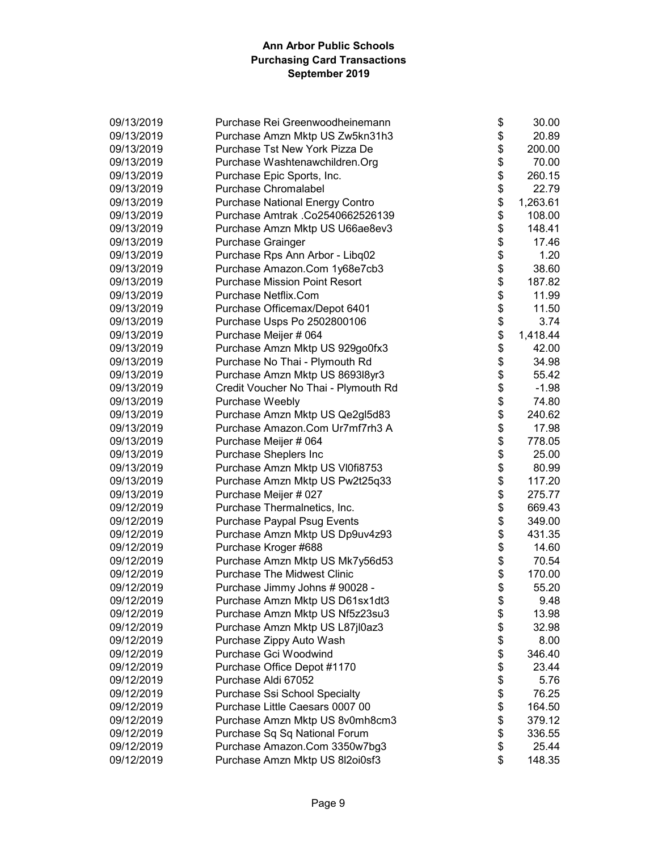| 09/13/2019 | Purchase Rei Greenwoodheinemann        | \$<br>30.00    |
|------------|----------------------------------------|----------------|
| 09/13/2019 | Purchase Amzn Mktp US Zw5kn31h3        | \$<br>20.89    |
| 09/13/2019 | Purchase Tst New York Pizza De         | \$<br>200.00   |
| 09/13/2019 | Purchase Washtenawchildren.Org         | \$<br>70.00    |
| 09/13/2019 | Purchase Epic Sports, Inc.             | \$<br>260.15   |
| 09/13/2019 | <b>Purchase Chromalabel</b>            | \$<br>22.79    |
| 09/13/2019 | <b>Purchase National Energy Contro</b> | \$<br>1,263.61 |
| 09/13/2019 | Purchase Amtrak .Co2540662526139       | \$<br>108.00   |
| 09/13/2019 | Purchase Amzn Mktp US U66ae8ev3        | \$<br>148.41   |
| 09/13/2019 | Purchase Grainger                      | \$<br>17.46    |
| 09/13/2019 | Purchase Rps Ann Arbor - Libq02        | \$<br>1.20     |
| 09/13/2019 | Purchase Amazon.Com 1y68e7cb3          | \$<br>38.60    |
| 09/13/2019 | <b>Purchase Mission Point Resort</b>   | \$<br>187.82   |
| 09/13/2019 | Purchase Netflix.Com                   | \$<br>11.99    |
| 09/13/2019 | Purchase Officemax/Depot 6401          | \$<br>11.50    |
| 09/13/2019 | Purchase Usps Po 2502800106            | \$<br>3.74     |
| 09/13/2019 | Purchase Meijer # 064                  | \$<br>1,418.44 |
| 09/13/2019 | Purchase Amzn Mktp US 929go0fx3        | \$<br>42.00    |
| 09/13/2019 | Purchase No Thai - Plymouth Rd         | \$<br>34.98    |
| 09/13/2019 | Purchase Amzn Mktp US 8693l8yr3        | \$<br>55.42    |
| 09/13/2019 | Credit Voucher No Thai - Plymouth Rd   | \$<br>$-1.98$  |
| 09/13/2019 | Purchase Weebly                        | \$<br>74.80    |
| 09/13/2019 | Purchase Amzn Mktp US Qe2gl5d83        | 240.62         |
| 09/13/2019 | Purchase Amazon.Com Ur7mf7rh3 A        | \$<br>17.98    |
| 09/13/2019 | Purchase Meijer # 064                  | \$<br>778.05   |
| 09/13/2019 | Purchase Sheplers Inc                  | \$<br>25.00    |
| 09/13/2019 | Purchase Amzn Mktp US VI0fi8753        | \$<br>80.99    |
| 09/13/2019 | Purchase Amzn Mktp US Pw2t25q33        | \$<br>117.20   |
| 09/13/2019 | Purchase Meijer # 027                  | \$<br>275.77   |
| 09/12/2019 | Purchase Thermalnetics, Inc.           | \$<br>669.43   |
| 09/12/2019 | Purchase Paypal Psug Events            | \$<br>349.00   |
| 09/12/2019 | Purchase Amzn Mktp US Dp9uv4z93        | \$<br>431.35   |
| 09/12/2019 | Purchase Kroger #688                   | \$<br>14.60    |
| 09/12/2019 | Purchase Amzn Mktp US Mk7y56d53        | \$<br>70.54    |
| 09/12/2019 | <b>Purchase The Midwest Clinic</b>     | \$<br>170.00   |
| 09/12/2019 | Purchase Jimmy Johns # 90028 -         | \$<br>55.20    |
| 09/12/2019 | Purchase Amzn Mktp US D61sx1dt3        | \$<br>9.48     |
| 09/12/2019 | Purchase Amzn Mktp US Nf5z23su3        | \$<br>13.98    |
| 09/12/2019 | Purchase Amzn Mktp US L87jl0az3        | \$<br>32.98    |
| 09/12/2019 | Purchase Zippy Auto Wash               | \$<br>8.00     |
| 09/12/2019 | Purchase Gci Woodwind                  | \$<br>346.40   |
| 09/12/2019 | Purchase Office Depot #1170            | \$<br>23.44    |
| 09/12/2019 | Purchase Aldi 67052                    | \$<br>5.76     |
| 09/12/2019 | Purchase Ssi School Specialty          | \$<br>76.25    |
| 09/12/2019 | Purchase Little Caesars 0007 00        | \$<br>164.50   |
| 09/12/2019 | Purchase Amzn Mktp US 8v0mh8cm3        | \$<br>379.12   |
| 09/12/2019 | Purchase Sq Sq National Forum          | \$<br>336.55   |
| 09/12/2019 | Purchase Amazon.Com 3350w7bg3          | \$<br>25.44    |
| 09/12/2019 | Purchase Amzn Mktp US 8l2oi0sf3        | \$<br>148.35   |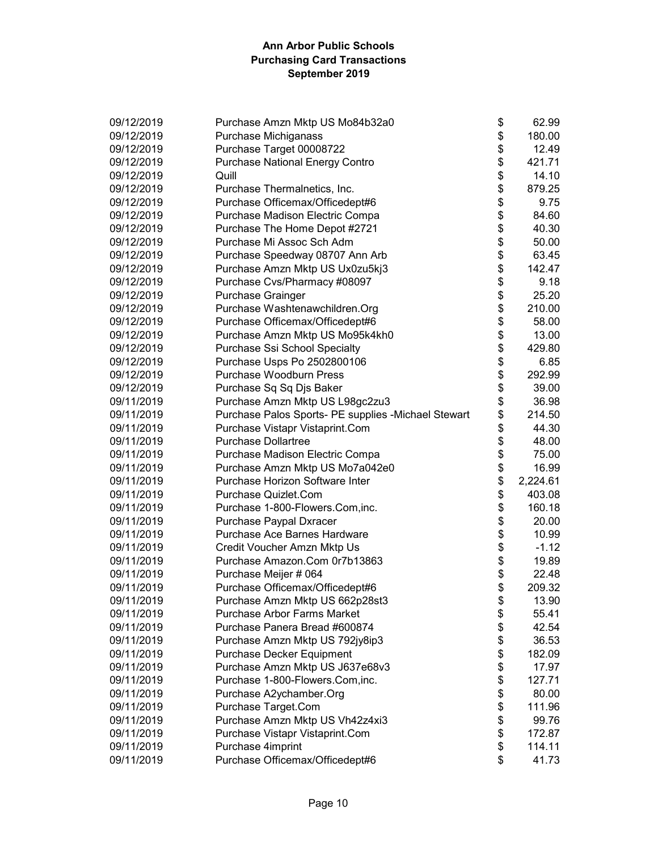| 09/12/2019 | Purchase Amzn Mktp US Mo84b32a0                     | \$<br>62.99    |
|------------|-----------------------------------------------------|----------------|
| 09/12/2019 | Purchase Michiganass                                | \$<br>180.00   |
| 09/12/2019 | Purchase Target 00008722                            | \$<br>12.49    |
| 09/12/2019 | <b>Purchase National Energy Contro</b>              | \$<br>421.71   |
| 09/12/2019 | Quill                                               | \$<br>14.10    |
| 09/12/2019 | Purchase Thermalnetics, Inc.                        | \$<br>879.25   |
| 09/12/2019 | Purchase Officemax/Officedept#6                     | \$<br>9.75     |
| 09/12/2019 | Purchase Madison Electric Compa                     | \$<br>84.60    |
| 09/12/2019 | Purchase The Home Depot #2721                       | \$<br>40.30    |
| 09/12/2019 | Purchase Mi Assoc Sch Adm                           | \$<br>50.00    |
| 09/12/2019 | Purchase Speedway 08707 Ann Arb                     | \$<br>63.45    |
| 09/12/2019 | Purchase Amzn Mktp US Ux0zu5kj3                     | \$<br>142.47   |
| 09/12/2019 | Purchase Cvs/Pharmacy #08097                        | \$<br>9.18     |
| 09/12/2019 | <b>Purchase Grainger</b>                            | \$<br>25.20    |
| 09/12/2019 | Purchase Washtenawchildren.Org                      | \$<br>210.00   |
| 09/12/2019 | Purchase Officemax/Officedept#6                     | \$<br>58.00    |
| 09/12/2019 | Purchase Amzn Mktp US Mo95k4kh0                     | \$<br>13.00    |
| 09/12/2019 | Purchase Ssi School Specialty                       | \$<br>429.80   |
| 09/12/2019 | Purchase Usps Po 2502800106                         | \$<br>6.85     |
| 09/12/2019 | Purchase Woodburn Press                             | \$<br>292.99   |
| 09/12/2019 | Purchase Sq Sq Djs Baker                            | \$<br>39.00    |
| 09/11/2019 | Purchase Amzn Mktp US L98gc2zu3                     | \$<br>36.98    |
| 09/11/2019 | Purchase Palos Sports- PE supplies -Michael Stewart | \$<br>214.50   |
| 09/11/2019 | Purchase Vistapr Vistaprint.Com                     | \$<br>44.30    |
| 09/11/2019 | <b>Purchase Dollartree</b>                          | \$<br>48.00    |
| 09/11/2019 | Purchase Madison Electric Compa                     | \$<br>75.00    |
| 09/11/2019 | Purchase Amzn Mktp US Mo7a042e0                     | \$<br>16.99    |
| 09/11/2019 | Purchase Horizon Software Inter                     | \$<br>2,224.61 |
| 09/11/2019 | Purchase Quizlet.Com                                | \$<br>403.08   |
| 09/11/2019 | Purchase 1-800-Flowers.Com, inc.                    | \$<br>160.18   |
| 09/11/2019 | Purchase Paypal Dxracer                             | \$<br>20.00    |
| 09/11/2019 | Purchase Ace Barnes Hardware                        | \$<br>10.99    |
| 09/11/2019 | Credit Voucher Amzn Mktp Us                         | \$<br>$-1.12$  |
| 09/11/2019 | Purchase Amazon.Com 0r7b13863                       | \$<br>19.89    |
| 09/11/2019 | Purchase Meijer # 064                               | \$<br>22.48    |
| 09/11/2019 | Purchase Officemax/Officedept#6                     | \$<br>209.32   |
| 09/11/2019 | Purchase Amzn Mktp US 662p28st3                     | \$<br>13.90    |
| 09/11/2019 | <b>Purchase Arbor Farms Market</b>                  | \$<br>55.41    |
| 09/11/2019 | Purchase Panera Bread #600874                       | \$<br>42.54    |
| 09/11/2019 | Purchase Amzn Mktp US 792jy8ip3                     | \$<br>36.53    |
| 09/11/2019 | Purchase Decker Equipment                           | \$<br>182.09   |
| 09/11/2019 | Purchase Amzn Mktp US J637e68v3                     | \$<br>17.97    |
| 09/11/2019 | Purchase 1-800-Flowers.Com, inc.                    | \$<br>127.71   |
| 09/11/2019 | Purchase A2ychamber.Org                             | \$<br>80.00    |
| 09/11/2019 | Purchase Target.Com                                 | \$<br>111.96   |
| 09/11/2019 | Purchase Amzn Mktp US Vh42z4xi3                     | \$<br>99.76    |
| 09/11/2019 | Purchase Vistapr Vistaprint.Com                     | \$<br>172.87   |
| 09/11/2019 | Purchase 4imprint                                   | \$<br>114.11   |
| 09/11/2019 | Purchase Officemax/Officedept#6                     | \$<br>41.73    |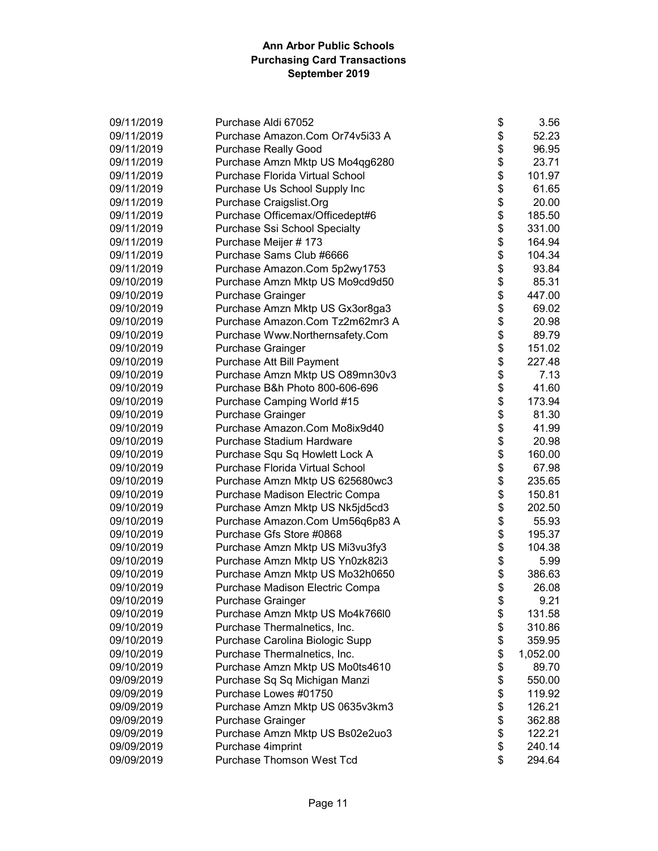| 09/11/2019 | Purchase Aldi 67052             | \$<br>3.56     |
|------------|---------------------------------|----------------|
| 09/11/2019 | Purchase Amazon.Com Or74v5i33 A | \$<br>52.23    |
| 09/11/2019 | <b>Purchase Really Good</b>     | \$<br>96.95    |
| 09/11/2019 | Purchase Amzn Mktp US Mo4qg6280 | \$<br>23.71    |
| 09/11/2019 | Purchase Florida Virtual School | \$<br>101.97   |
| 09/11/2019 | Purchase Us School Supply Inc   | \$<br>61.65    |
| 09/11/2019 | Purchase Craigslist.Org         | \$<br>20.00    |
| 09/11/2019 | Purchase Officemax/Officedept#6 | \$<br>185.50   |
| 09/11/2019 | Purchase Ssi School Specialty   | \$<br>331.00   |
| 09/11/2019 | Purchase Meijer # 173           | \$<br>164.94   |
| 09/11/2019 | Purchase Sams Club #6666        | \$<br>104.34   |
| 09/11/2019 | Purchase Amazon.Com 5p2wy1753   | \$<br>93.84    |
| 09/10/2019 | Purchase Amzn Mktp US Mo9cd9d50 | \$<br>85.31    |
| 09/10/2019 | <b>Purchase Grainger</b>        | \$<br>447.00   |
| 09/10/2019 | Purchase Amzn Mktp US Gx3or8ga3 | \$<br>69.02    |
| 09/10/2019 | Purchase Amazon.Com Tz2m62mr3 A | \$<br>20.98    |
| 09/10/2019 | Purchase Www.Northernsafety.Com | \$<br>89.79    |
| 09/10/2019 | <b>Purchase Grainger</b>        | \$<br>151.02   |
| 09/10/2019 | Purchase Att Bill Payment       | \$<br>227.48   |
| 09/10/2019 | Purchase Amzn Mktp US O89mn30v3 | \$<br>7.13     |
| 09/10/2019 | Purchase B&h Photo 800-606-696  | \$<br>41.60    |
| 09/10/2019 | Purchase Camping World #15      | \$<br>173.94   |
| 09/10/2019 | Purchase Grainger               | \$<br>81.30    |
| 09/10/2019 | Purchase Amazon.Com Mo8ix9d40   | \$<br>41.99    |
| 09/10/2019 | Purchase Stadium Hardware       | \$<br>20.98    |
| 09/10/2019 | Purchase Squ Sq Howlett Lock A  | \$<br>160.00   |
| 09/10/2019 | Purchase Florida Virtual School | \$<br>67.98    |
| 09/10/2019 | Purchase Amzn Mktp US 625680wc3 | \$<br>235.65   |
| 09/10/2019 | Purchase Madison Electric Compa | \$<br>150.81   |
| 09/10/2019 | Purchase Amzn Mktp US Nk5jd5cd3 | \$<br>202.50   |
| 09/10/2019 | Purchase Amazon.Com Um56q6p83 A | \$<br>55.93    |
| 09/10/2019 | Purchase Gfs Store #0868        | \$<br>195.37   |
| 09/10/2019 | Purchase Amzn Mktp US Mi3vu3fy3 | \$<br>104.38   |
| 09/10/2019 | Purchase Amzn Mktp US Yn0zk82i3 | \$<br>5.99     |
| 09/10/2019 | Purchase Amzn Mktp US Mo32h0650 | \$<br>386.63   |
| 09/10/2019 | Purchase Madison Electric Compa | \$<br>26.08    |
| 09/10/2019 | Purchase Grainger               | \$<br>9.21     |
| 09/10/2019 | Purchase Amzn Mktp US Mo4k766l0 | \$<br>131.58   |
| 09/10/2019 | Purchase Thermalnetics, Inc.    | \$<br>310.86   |
| 09/10/2019 | Purchase Carolina Biologic Supp | \$<br>359.95   |
| 09/10/2019 | Purchase Thermalnetics, Inc.    | \$<br>1,052.00 |
| 09/10/2019 | Purchase Amzn Mktp US Mo0ts4610 | \$<br>89.70    |
| 09/09/2019 | Purchase Sq Sq Michigan Manzi   | \$<br>550.00   |
| 09/09/2019 | Purchase Lowes #01750           | \$<br>119.92   |
| 09/09/2019 | Purchase Amzn Mktp US 0635v3km3 | \$<br>126.21   |
| 09/09/2019 | <b>Purchase Grainger</b>        | \$<br>362.88   |
| 09/09/2019 | Purchase Amzn Mktp US Bs02e2uo3 | \$<br>122.21   |
| 09/09/2019 | Purchase 4imprint               | \$<br>240.14   |
| 09/09/2019 | Purchase Thomson West Tcd       | \$<br>294.64   |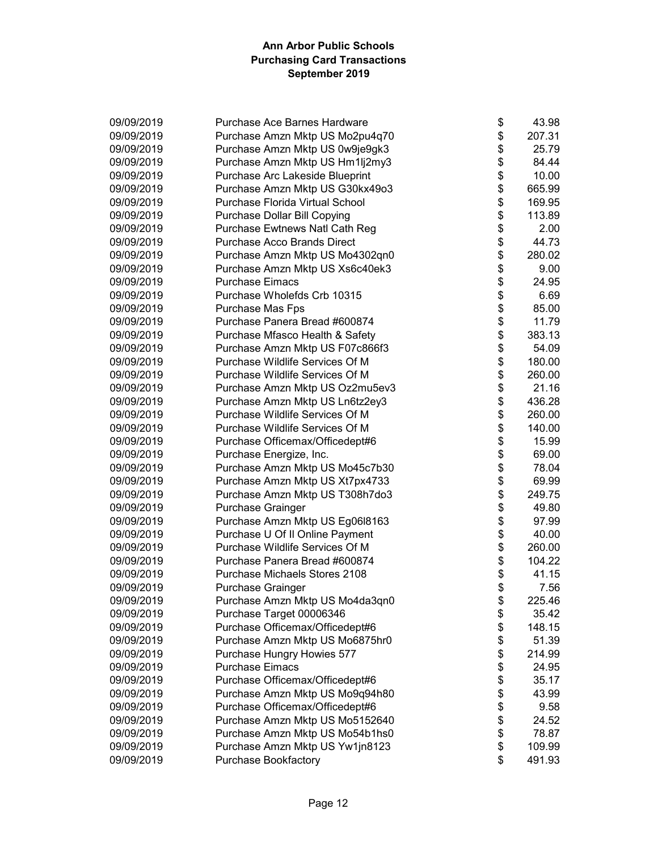| 09/09/2019 | Purchase Ace Barnes Hardware       | \$<br>43.98  |
|------------|------------------------------------|--------------|
| 09/09/2019 | Purchase Amzn Mktp US Mo2pu4q70    | \$<br>207.31 |
| 09/09/2019 | Purchase Amzn Mktp US 0w9je9gk3    | \$<br>25.79  |
| 09/09/2019 | Purchase Amzn Mktp US Hm1lj2my3    | \$<br>84.44  |
| 09/09/2019 | Purchase Arc Lakeside Blueprint    | \$<br>10.00  |
| 09/09/2019 | Purchase Amzn Mktp US G30kx49o3    | \$<br>665.99 |
| 09/09/2019 | Purchase Florida Virtual School    | \$<br>169.95 |
| 09/09/2019 | Purchase Dollar Bill Copying       | \$<br>113.89 |
| 09/09/2019 | Purchase Ewtnews Natl Cath Reg     | \$<br>2.00   |
| 09/09/2019 | <b>Purchase Acco Brands Direct</b> | \$<br>44.73  |
| 09/09/2019 | Purchase Amzn Mktp US Mo4302qn0    | \$<br>280.02 |
| 09/09/2019 | Purchase Amzn Mktp US Xs6c40ek3    | \$<br>9.00   |
| 09/09/2019 | <b>Purchase Eimacs</b>             | \$<br>24.95  |
| 09/09/2019 | Purchase Wholefds Crb 10315        | \$<br>6.69   |
| 09/09/2019 | Purchase Mas Fps                   | \$<br>85.00  |
| 09/09/2019 | Purchase Panera Bread #600874      | \$<br>11.79  |
| 09/09/2019 | Purchase Mfasco Health & Safety    | \$<br>383.13 |
| 09/09/2019 | Purchase Amzn Mktp US F07c866f3    | \$<br>54.09  |
| 09/09/2019 | Purchase Wildlife Services Of M    | \$<br>180.00 |
| 09/09/2019 | Purchase Wildlife Services Of M    | \$<br>260.00 |
| 09/09/2019 | Purchase Amzn Mktp US Oz2mu5ev3    | \$<br>21.16  |
| 09/09/2019 | Purchase Amzn Mktp US Ln6tz2ey3    | \$<br>436.28 |
| 09/09/2019 | Purchase Wildlife Services Of M    | \$<br>260.00 |
| 09/09/2019 | Purchase Wildlife Services Of M    | \$<br>140.00 |
| 09/09/2019 | Purchase Officemax/Officedept#6    | \$<br>15.99  |
| 09/09/2019 | Purchase Energize, Inc.            | \$<br>69.00  |
| 09/09/2019 | Purchase Amzn Mktp US Mo45c7b30    | \$<br>78.04  |
| 09/09/2019 | Purchase Amzn Mktp US Xt7px4733    | \$<br>69.99  |
| 09/09/2019 | Purchase Amzn Mktp US T308h7do3    | \$<br>249.75 |
| 09/09/2019 | <b>Purchase Grainger</b>           | \$<br>49.80  |
| 09/09/2019 | Purchase Amzn Mktp US Eg06l8163    | \$<br>97.99  |
| 09/09/2019 | Purchase U Of II Online Payment    | \$<br>40.00  |
| 09/09/2019 | Purchase Wildlife Services Of M    | \$<br>260.00 |
| 09/09/2019 | Purchase Panera Bread #600874      | \$<br>104.22 |
| 09/09/2019 | Purchase Michaels Stores 2108      | \$<br>41.15  |
| 09/09/2019 | <b>Purchase Grainger</b>           | \$<br>7.56   |
| 09/09/2019 | Purchase Amzn Mktp US Mo4da3qn0    | \$<br>225.46 |
| 09/09/2019 | Purchase Target 00006346           | \$<br>35.42  |
| 09/09/2019 | Purchase Officemax/Officedept#6    | \$<br>148.15 |
| 09/09/2019 | Purchase Amzn Mktp US Mo6875hr0    | \$<br>51.39  |
| 09/09/2019 | Purchase Hungry Howies 577         | \$<br>214.99 |
| 09/09/2019 | <b>Purchase Eimacs</b>             | \$<br>24.95  |
| 09/09/2019 | Purchase Officemax/Officedept#6    | \$<br>35.17  |
| 09/09/2019 | Purchase Amzn Mktp US Mo9q94h80    | \$<br>43.99  |
| 09/09/2019 | Purchase Officemax/Officedept#6    | \$<br>9.58   |
| 09/09/2019 | Purchase Amzn Mktp US Mo5152640    | \$<br>24.52  |
| 09/09/2019 | Purchase Amzn Mktp US Mo54b1hs0    | \$<br>78.87  |
| 09/09/2019 | Purchase Amzn Mktp US Yw1jn8123    | \$<br>109.99 |
| 09/09/2019 | <b>Purchase Bookfactory</b>        | \$<br>491.93 |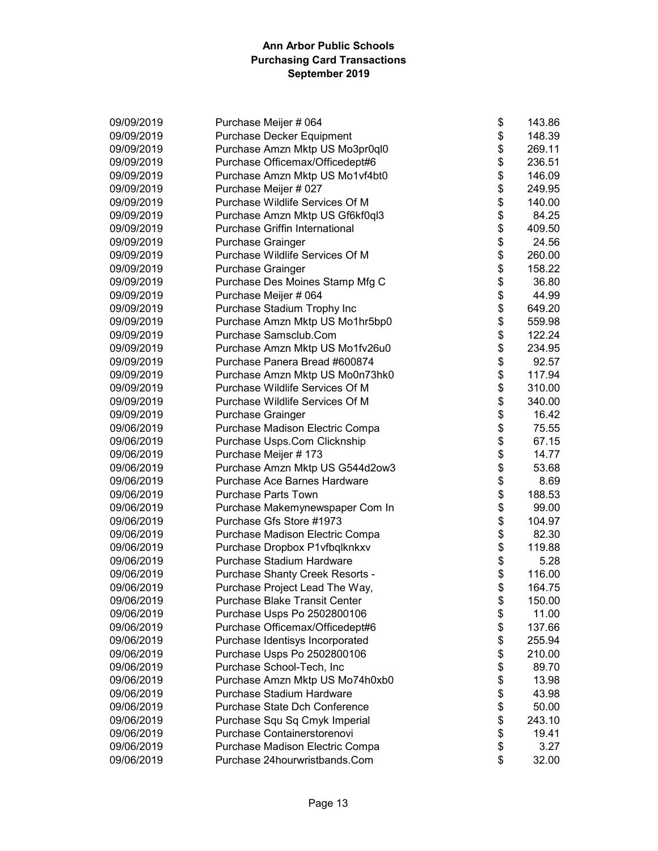| 09/09/2019 | Purchase Meijer # 064                 | \$<br>143.86 |
|------------|---------------------------------------|--------------|
| 09/09/2019 | Purchase Decker Equipment             | \$<br>148.39 |
| 09/09/2019 | Purchase Amzn Mktp US Mo3pr0ql0       | \$<br>269.11 |
| 09/09/2019 | Purchase Officemax/Officedept#6       | \$<br>236.51 |
| 09/09/2019 | Purchase Amzn Mktp US Mo1vf4bt0       | \$<br>146.09 |
| 09/09/2019 | Purchase Meijer # 027                 | \$<br>249.95 |
| 09/09/2019 | Purchase Wildlife Services Of M       | \$<br>140.00 |
| 09/09/2019 | Purchase Amzn Mktp US Gf6kf0ql3       | \$<br>84.25  |
| 09/09/2019 | <b>Purchase Griffin International</b> | \$<br>409.50 |
| 09/09/2019 | Purchase Grainger                     | \$<br>24.56  |
| 09/09/2019 | Purchase Wildlife Services Of M       | \$<br>260.00 |
| 09/09/2019 | <b>Purchase Grainger</b>              | \$<br>158.22 |
| 09/09/2019 | Purchase Des Moines Stamp Mfg C       | \$<br>36.80  |
| 09/09/2019 | Purchase Meijer # 064                 | \$<br>44.99  |
| 09/09/2019 | Purchase Stadium Trophy Inc           | \$<br>649.20 |
| 09/09/2019 | Purchase Amzn Mktp US Mo1hr5bp0       | \$<br>559.98 |
| 09/09/2019 | Purchase Samsclub.Com                 | \$<br>122.24 |
| 09/09/2019 | Purchase Amzn Mktp US Mo1fv26u0       | \$<br>234.95 |
| 09/09/2019 | Purchase Panera Bread #600874         | \$<br>92.57  |
| 09/09/2019 | Purchase Amzn Mktp US Mo0n73hk0       | \$<br>117.94 |
| 09/09/2019 | Purchase Wildlife Services Of M       | \$<br>310.00 |
| 09/09/2019 | Purchase Wildlife Services Of M       | \$<br>340.00 |
| 09/09/2019 | Purchase Grainger                     | \$<br>16.42  |
| 09/06/2019 | Purchase Madison Electric Compa       | \$<br>75.55  |
| 09/06/2019 | Purchase Usps.Com Clicknship          | \$<br>67.15  |
| 09/06/2019 | Purchase Meijer # 173                 | \$<br>14.77  |
| 09/06/2019 | Purchase Amzn Mktp US G544d2ow3       | \$<br>53.68  |
| 09/06/2019 | Purchase Ace Barnes Hardware          | \$<br>8.69   |
| 09/06/2019 | <b>Purchase Parts Town</b>            | \$<br>188.53 |
| 09/06/2019 | Purchase Makemynewspaper Com In       | \$<br>99.00  |
| 09/06/2019 | Purchase Gfs Store #1973              | \$<br>104.97 |
| 09/06/2019 | Purchase Madison Electric Compa       | \$<br>82.30  |
| 09/06/2019 | Purchase Dropbox P1vfbqlknkxv         | \$<br>119.88 |
| 09/06/2019 | Purchase Stadium Hardware             | \$<br>5.28   |
| 09/06/2019 | Purchase Shanty Creek Resorts -       | \$<br>116.00 |
| 09/06/2019 | Purchase Project Lead The Way,        | \$<br>164.75 |
| 09/06/2019 | <b>Purchase Blake Transit Center</b>  | \$<br>150.00 |
| 09/06/2019 | Purchase Usps Po 2502800106           | \$<br>11.00  |
| 09/06/2019 | Purchase Officemax/Officedept#6       | \$<br>137.66 |
| 09/06/2019 | Purchase Identisys Incorporated       | \$<br>255.94 |
| 09/06/2019 | Purchase Usps Po 2502800106           | \$<br>210.00 |
| 09/06/2019 | Purchase School-Tech, Inc             | \$<br>89.70  |
| 09/06/2019 | Purchase Amzn Mktp US Mo74h0xb0       | \$<br>13.98  |
| 09/06/2019 | Purchase Stadium Hardware             | \$<br>43.98  |
| 09/06/2019 | Purchase State Dch Conference         | \$<br>50.00  |
| 09/06/2019 | Purchase Squ Sq Cmyk Imperial         | \$<br>243.10 |
| 09/06/2019 | Purchase Containerstorenovi           | \$<br>19.41  |
| 09/06/2019 | Purchase Madison Electric Compa       | \$<br>3.27   |
| 09/06/2019 | Purchase 24hourwristbands.Com         | \$<br>32.00  |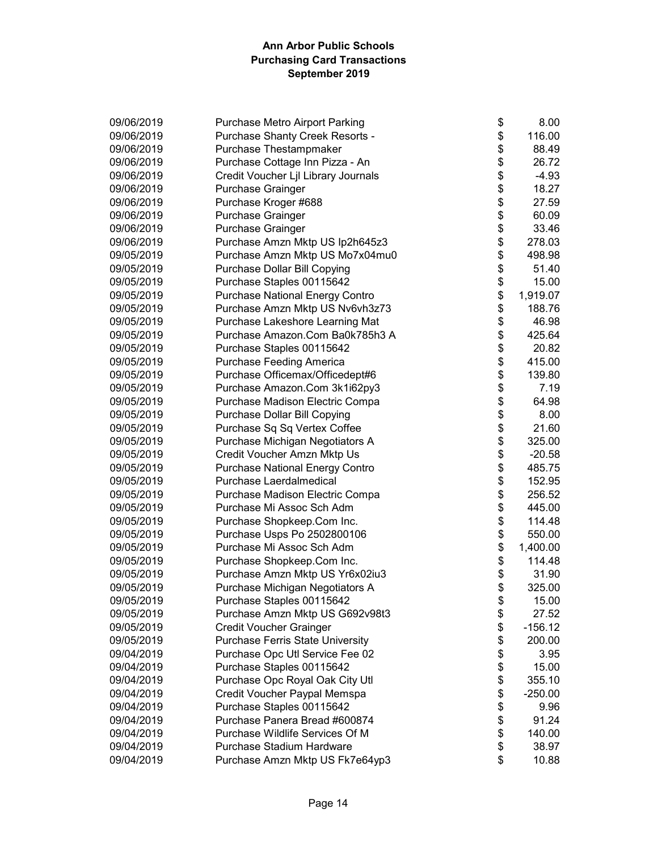| 09/06/2019 | Purchase Metro Airport Parking         | \$<br>8.00      |
|------------|----------------------------------------|-----------------|
| 09/06/2019 | Purchase Shanty Creek Resorts -        | \$<br>116.00    |
| 09/06/2019 | Purchase Thestampmaker                 | \$<br>88.49     |
| 09/06/2019 | Purchase Cottage Inn Pizza - An        | \$<br>26.72     |
| 09/06/2019 | Credit Voucher Ljl Library Journals    | \$<br>$-4.93$   |
| 09/06/2019 | Purchase Grainger                      | \$<br>18.27     |
| 09/06/2019 | Purchase Kroger #688                   | \$<br>27.59     |
| 09/06/2019 | Purchase Grainger                      | \$<br>60.09     |
| 09/06/2019 | Purchase Grainger                      | \$<br>33.46     |
| 09/06/2019 | Purchase Amzn Mktp US Ip2h645z3        | \$<br>278.03    |
| 09/05/2019 | Purchase Amzn Mktp US Mo7x04mu0        | \$<br>498.98    |
| 09/05/2019 | Purchase Dollar Bill Copying           | \$<br>51.40     |
| 09/05/2019 | Purchase Staples 00115642              | \$<br>15.00     |
| 09/05/2019 | <b>Purchase National Energy Contro</b> | \$<br>1,919.07  |
| 09/05/2019 | Purchase Amzn Mktp US Nv6vh3z73        | \$<br>188.76    |
| 09/05/2019 | Purchase Lakeshore Learning Mat        | \$<br>46.98     |
| 09/05/2019 | Purchase Amazon.Com Ba0k785h3 A        | \$<br>425.64    |
| 09/05/2019 | Purchase Staples 00115642              | \$<br>20.82     |
| 09/05/2019 | Purchase Feeding America               | \$<br>415.00    |
| 09/05/2019 | Purchase Officemax/Officedept#6        | \$<br>139.80    |
| 09/05/2019 | Purchase Amazon.Com 3k1i62py3          | \$<br>7.19      |
| 09/05/2019 | Purchase Madison Electric Compa        | \$<br>64.98     |
| 09/05/2019 | Purchase Dollar Bill Copying           | \$<br>8.00      |
| 09/05/2019 | Purchase Sq Sq Vertex Coffee           | \$<br>21.60     |
| 09/05/2019 | Purchase Michigan Negotiators A        | \$<br>325.00    |
| 09/05/2019 | Credit Voucher Amzn Mktp Us            | \$<br>$-20.58$  |
| 09/05/2019 | <b>Purchase National Energy Contro</b> | \$<br>485.75    |
| 09/05/2019 | Purchase Laerdalmedical                | \$<br>152.95    |
| 09/05/2019 | Purchase Madison Electric Compa        | \$<br>256.52    |
| 09/05/2019 | Purchase Mi Assoc Sch Adm              | \$<br>445.00    |
| 09/05/2019 | Purchase Shopkeep.Com Inc.             | \$<br>114.48    |
| 09/05/2019 | Purchase Usps Po 2502800106            | \$<br>550.00    |
| 09/05/2019 | Purchase Mi Assoc Sch Adm              | \$<br>1,400.00  |
| 09/05/2019 | Purchase Shopkeep.Com Inc.             | \$<br>114.48    |
| 09/05/2019 | Purchase Amzn Mktp US Yr6x02iu3        | \$<br>31.90     |
| 09/05/2019 | Purchase Michigan Negotiators A        | \$<br>325.00    |
| 09/05/2019 | Purchase Staples 00115642              | \$<br>15.00     |
| 09/05/2019 | Purchase Amzn Mktp US G692v98t3        | \$<br>27.52     |
| 09/05/2019 | <b>Credit Voucher Grainger</b>         | \$<br>$-156.12$ |
| 09/05/2019 | Purchase Ferris State University       | \$<br>200.00    |
| 09/04/2019 | Purchase Opc Utl Service Fee 02        | \$<br>3.95      |
| 09/04/2019 | Purchase Staples 00115642              | \$<br>15.00     |
| 09/04/2019 | Purchase Opc Royal Oak City Utl        | \$<br>355.10    |
| 09/04/2019 | Credit Voucher Paypal Memspa           | \$<br>$-250.00$ |
| 09/04/2019 | Purchase Staples 00115642              | \$<br>9.96      |
| 09/04/2019 | Purchase Panera Bread #600874          | \$<br>91.24     |
| 09/04/2019 | Purchase Wildlife Services Of M        | \$<br>140.00    |
| 09/04/2019 | Purchase Stadium Hardware              | \$<br>38.97     |
| 09/04/2019 | Purchase Amzn Mktp US Fk7e64yp3        | \$<br>10.88     |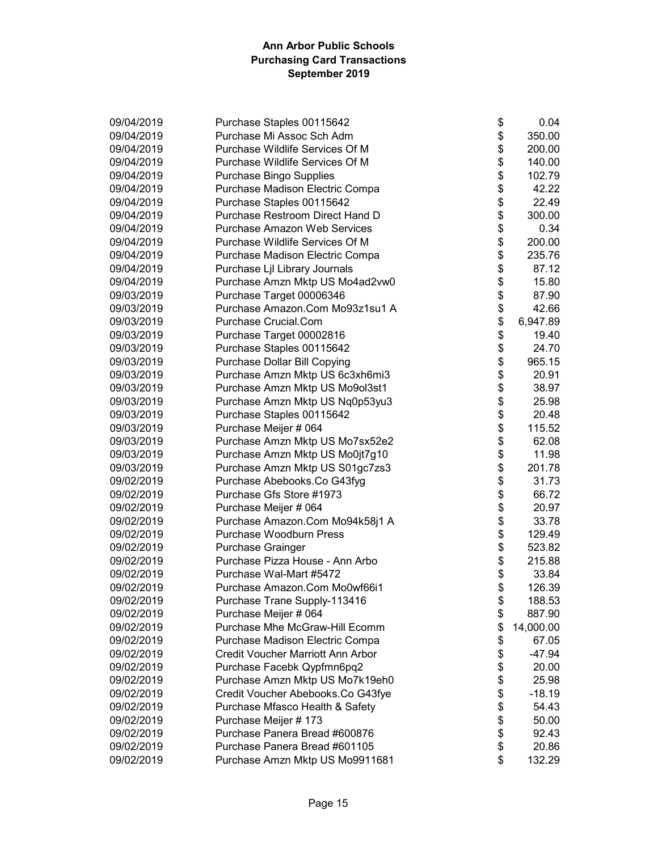| 09/04/2019 | Purchase Staples 00115642           | \$<br>0.04      |
|------------|-------------------------------------|-----------------|
| 09/04/2019 | Purchase Mi Assoc Sch Adm           | \$<br>350.00    |
| 09/04/2019 | Purchase Wildlife Services Of M     | \$<br>200.00    |
| 09/04/2019 | Purchase Wildlife Services Of M     | \$<br>140.00    |
| 09/04/2019 | <b>Purchase Bingo Supplies</b>      | \$<br>102.79    |
| 09/04/2019 | Purchase Madison Electric Compa     | \$<br>42.22     |
| 09/04/2019 | Purchase Staples 00115642           | \$<br>22.49     |
| 09/04/2019 | Purchase Restroom Direct Hand D     | \$<br>300.00    |
| 09/04/2019 | <b>Purchase Amazon Web Services</b> | \$<br>0.34      |
| 09/04/2019 | Purchase Wildlife Services Of M     | \$<br>200.00    |
| 09/04/2019 | Purchase Madison Electric Compa     | \$<br>235.76    |
| 09/04/2019 | Purchase Ljl Library Journals       | \$<br>87.12     |
| 09/04/2019 | Purchase Amzn Mktp US Mo4ad2vw0     | \$<br>15.80     |
| 09/03/2019 | Purchase Target 00006346            | \$<br>87.90     |
| 09/03/2019 | Purchase Amazon.Com Mo93z1su1 A     | \$<br>42.66     |
| 09/03/2019 | Purchase Crucial.Com                | \$<br>6,947.89  |
| 09/03/2019 | Purchase Target 00002816            | \$<br>19.40     |
| 09/03/2019 | Purchase Staples 00115642           | \$<br>24.70     |
| 09/03/2019 | Purchase Dollar Bill Copying        | \$<br>965.15    |
| 09/03/2019 | Purchase Amzn Mktp US 6c3xh6mi3     | \$<br>20.91     |
| 09/03/2019 | Purchase Amzn Mktp US Mo9ol3st1     | \$<br>38.97     |
| 09/03/2019 | Purchase Amzn Mktp US Nq0p53yu3     | \$<br>25.98     |
| 09/03/2019 | Purchase Staples 00115642           | \$<br>20.48     |
| 09/03/2019 | Purchase Meijer # 064               | \$<br>115.52    |
| 09/03/2019 | Purchase Amzn Mktp US Mo7sx52e2     | \$<br>62.08     |
| 09/03/2019 | Purchase Amzn Mktp US Mo0jt7g10     | \$<br>11.98     |
| 09/03/2019 | Purchase Amzn Mktp US S01gc7zs3     | \$<br>201.78    |
| 09/02/2019 | Purchase Abebooks.Co G43fyg         | \$<br>31.73     |
| 09/02/2019 | Purchase Gfs Store #1973            | \$<br>66.72     |
| 09/02/2019 | Purchase Meijer # 064               | \$<br>20.97     |
| 09/02/2019 | Purchase Amazon.Com Mo94k58j1 A     | \$<br>33.78     |
| 09/02/2019 | <b>Purchase Woodburn Press</b>      | \$<br>129.49    |
| 09/02/2019 | Purchase Grainger                   | \$<br>523.82    |
| 09/02/2019 | Purchase Pizza House - Ann Arbo     | \$<br>215.88    |
| 09/02/2019 | Purchase Wal-Mart #5472             | \$<br>33.84     |
| 09/02/2019 | Purchase Amazon.Com Mo0wf66i1       | \$<br>126.39    |
| 09/02/2019 | Purchase Trane Supply-113416        | \$<br>188.53    |
| 09/02/2019 | Purchase Meijer # 064               | \$<br>887.90    |
| 09/02/2019 | Purchase Mhe McGraw-Hill Ecomm      | \$<br>14,000.00 |
| 09/02/2019 | Purchase Madison Electric Compa     | \$<br>67.05     |
| 09/02/2019 | Credit Voucher Marriott Ann Arbor   | \$<br>-47.94    |
| 09/02/2019 | Purchase Facebk Qypfmn6pq2          | \$<br>20.00     |
| 09/02/2019 | Purchase Amzn Mktp US Mo7k19eh0     | \$<br>25.98     |
| 09/02/2019 | Credit Voucher Abebooks.Co G43fye   | \$<br>$-18.19$  |
| 09/02/2019 | Purchase Mfasco Health & Safety     | \$<br>54.43     |
| 09/02/2019 | Purchase Meijer # 173               | \$<br>50.00     |
| 09/02/2019 | Purchase Panera Bread #600876       | \$<br>92.43     |
| 09/02/2019 | Purchase Panera Bread #601105       | \$<br>20.86     |
| 09/02/2019 | Purchase Amzn Mktp US Mo9911681     | \$<br>132.29    |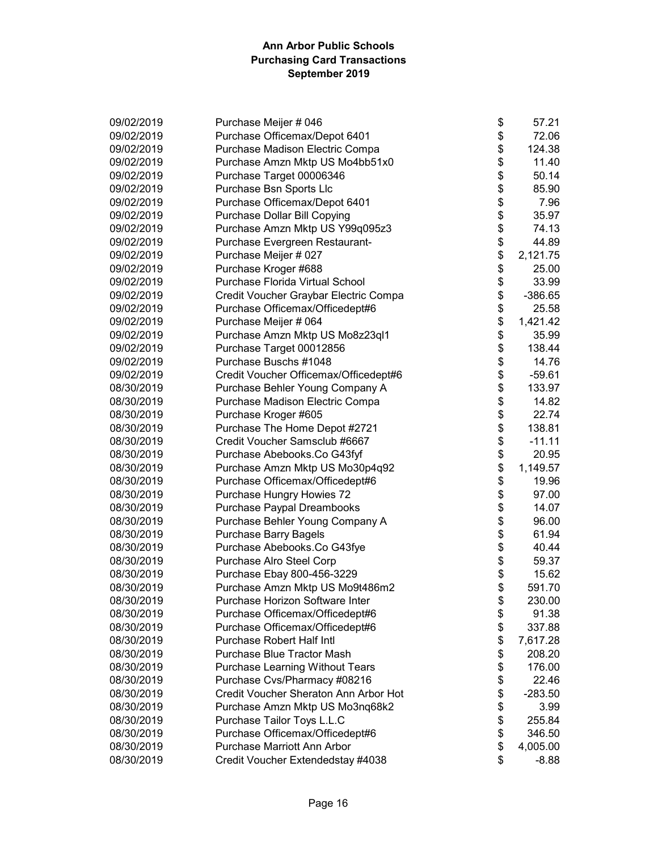| 09/02/2019 | Purchase Meijer # 046                  | \$<br>57.21     |
|------------|----------------------------------------|-----------------|
| 09/02/2019 | Purchase Officemax/Depot 6401          | \$<br>72.06     |
| 09/02/2019 | Purchase Madison Electric Compa        | \$<br>124.38    |
| 09/02/2019 | Purchase Amzn Mktp US Mo4bb51x0        | \$<br>11.40     |
| 09/02/2019 | Purchase Target 00006346               | \$<br>50.14     |
| 09/02/2019 | Purchase Bsn Sports Llc                | \$<br>85.90     |
| 09/02/2019 | Purchase Officemax/Depot 6401          | \$<br>7.96      |
| 09/02/2019 | Purchase Dollar Bill Copying           | \$<br>35.97     |
| 09/02/2019 | Purchase Amzn Mktp US Y99q095z3        | \$<br>74.13     |
| 09/02/2019 | Purchase Evergreen Restaurant-         | \$<br>44.89     |
| 09/02/2019 | Purchase Meijer # 027                  | \$<br>2,121.75  |
| 09/02/2019 | Purchase Kroger #688                   | \$<br>25.00     |
| 09/02/2019 | Purchase Florida Virtual School        | \$<br>33.99     |
| 09/02/2019 | Credit Voucher Graybar Electric Compa  | \$<br>$-386.65$ |
| 09/02/2019 | Purchase Officemax/Officedept#6        | \$<br>25.58     |
| 09/02/2019 | Purchase Meijer # 064                  | \$<br>1,421.42  |
| 09/02/2019 | Purchase Amzn Mktp US Mo8z23ql1        | \$<br>35.99     |
| 09/02/2019 | Purchase Target 00012856               | \$<br>138.44    |
| 09/02/2019 | Purchase Buschs #1048                  | \$<br>14.76     |
| 09/02/2019 | Credit Voucher Officemax/Officedept#6  | \$<br>$-59.61$  |
| 08/30/2019 | Purchase Behler Young Company A        | \$<br>133.97    |
| 08/30/2019 | Purchase Madison Electric Compa        | \$<br>14.82     |
| 08/30/2019 | Purchase Kroger #605                   | \$<br>22.74     |
| 08/30/2019 | Purchase The Home Depot #2721          | \$<br>138.81    |
| 08/30/2019 | Credit Voucher Samsclub #6667          | \$<br>$-11.11$  |
| 08/30/2019 | Purchase Abebooks.Co G43fyf            | \$<br>20.95     |
| 08/30/2019 | Purchase Amzn Mktp US Mo30p4q92        | \$<br>1,149.57  |
| 08/30/2019 | Purchase Officemax/Officedept#6        | \$<br>19.96     |
| 08/30/2019 | Purchase Hungry Howies 72              | \$<br>97.00     |
| 08/30/2019 | Purchase Paypal Dreambooks             | \$<br>14.07     |
| 08/30/2019 | Purchase Behler Young Company A        | \$<br>96.00     |
| 08/30/2019 | <b>Purchase Barry Bagels</b>           | \$<br>61.94     |
| 08/30/2019 | Purchase Abebooks.Co G43fye            | \$<br>40.44     |
| 08/30/2019 | Purchase Alro Steel Corp               | \$<br>59.37     |
| 08/30/2019 | Purchase Ebay 800-456-3229             | \$<br>15.62     |
| 08/30/2019 | Purchase Amzn Mktp US Mo9t486m2        | \$<br>591.70    |
| 08/30/2019 | Purchase Horizon Software Inter        | \$<br>230.00    |
| 08/30/2019 | Purchase Officemax/Officedept#6        | \$<br>91.38     |
| 08/30/2019 | Purchase Officemax/Officedept#6        | \$<br>337.88    |
| 08/30/2019 | <b>Purchase Robert Half Intl</b>       | \$<br>7,617.28  |
| 08/30/2019 | <b>Purchase Blue Tractor Mash</b>      | \$<br>208.20    |
| 08/30/2019 | <b>Purchase Learning Without Tears</b> | \$<br>176.00    |
| 08/30/2019 | Purchase Cvs/Pharmacy #08216           | \$<br>22.46     |
| 08/30/2019 | Credit Voucher Sheraton Ann Arbor Hot  | \$<br>$-283.50$ |
| 08/30/2019 | Purchase Amzn Mktp US Mo3nq68k2        | \$<br>3.99      |
| 08/30/2019 | Purchase Tailor Toys L.L.C             | \$<br>255.84    |
| 08/30/2019 | Purchase Officemax/Officedept#6        | \$<br>346.50    |
| 08/30/2019 | Purchase Marriott Ann Arbor            | \$<br>4,005.00  |
| 08/30/2019 | Credit Voucher Extendedstay #4038      | \$<br>$-8.88$   |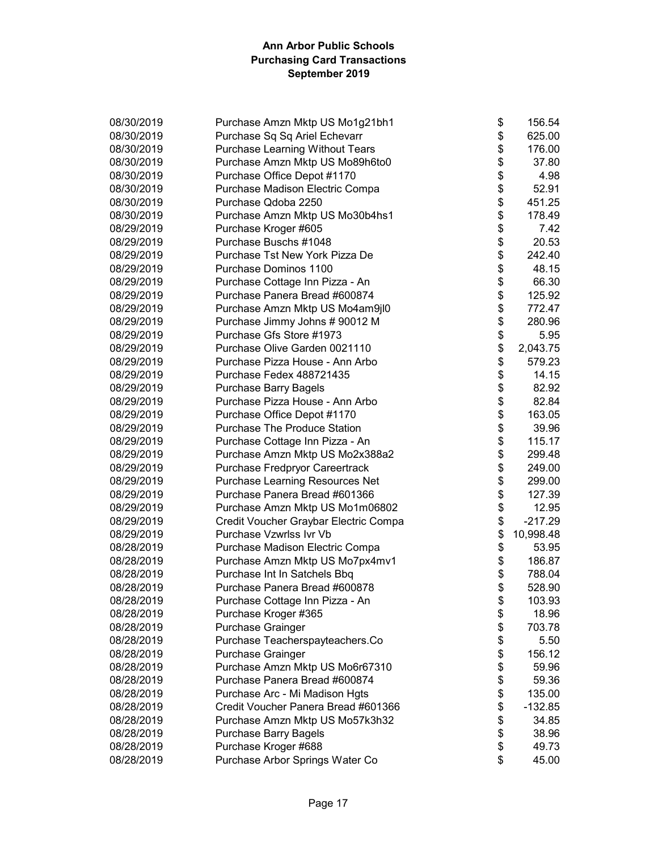| 08/30/2019 | Purchase Amzn Mktp US Mo1g21bh1        | \$<br>156.54    |
|------------|----------------------------------------|-----------------|
| 08/30/2019 | Purchase Sq Sq Ariel Echevarr          | \$<br>625.00    |
| 08/30/2019 | <b>Purchase Learning Without Tears</b> | \$<br>176.00    |
| 08/30/2019 | Purchase Amzn Mktp US Mo89h6to0        | \$<br>37.80     |
| 08/30/2019 | Purchase Office Depot #1170            | \$<br>4.98      |
| 08/30/2019 | Purchase Madison Electric Compa        | \$<br>52.91     |
| 08/30/2019 | Purchase Qdoba 2250                    | \$<br>451.25    |
| 08/30/2019 | Purchase Amzn Mktp US Mo30b4hs1        | \$<br>178.49    |
| 08/29/2019 | Purchase Kroger #605                   | \$<br>7.42      |
| 08/29/2019 | Purchase Buschs #1048                  | \$<br>20.53     |
| 08/29/2019 | Purchase Tst New York Pizza De         | \$<br>242.40    |
| 08/29/2019 | Purchase Dominos 1100                  | \$<br>48.15     |
| 08/29/2019 | Purchase Cottage Inn Pizza - An        | \$<br>66.30     |
| 08/29/2019 | Purchase Panera Bread #600874          | \$<br>125.92    |
| 08/29/2019 | Purchase Amzn Mktp US Mo4am9jl0        | \$<br>772.47    |
| 08/29/2019 | Purchase Jimmy Johns # 90012 M         | \$<br>280.96    |
| 08/29/2019 | Purchase Gfs Store #1973               | \$<br>5.95      |
| 08/29/2019 | Purchase Olive Garden 0021110          | \$<br>2,043.75  |
| 08/29/2019 | Purchase Pizza House - Ann Arbo        | \$<br>579.23    |
| 08/29/2019 | Purchase Fedex 488721435               | \$<br>14.15     |
| 08/29/2019 | Purchase Barry Bagels                  | \$<br>82.92     |
| 08/29/2019 | Purchase Pizza House - Ann Arbo        | \$<br>82.84     |
| 08/29/2019 | Purchase Office Depot #1170            | \$<br>163.05    |
| 08/29/2019 | <b>Purchase The Produce Station</b>    | \$<br>39.96     |
| 08/29/2019 | Purchase Cottage Inn Pizza - An        | \$<br>115.17    |
| 08/29/2019 | Purchase Amzn Mktp US Mo2x388a2        | \$<br>299.48    |
| 08/29/2019 | Purchase Fredpryor Careertrack         | \$<br>249.00    |
| 08/29/2019 | Purchase Learning Resources Net        | \$<br>299.00    |
| 08/29/2019 | Purchase Panera Bread #601366          | \$<br>127.39    |
| 08/29/2019 | Purchase Amzn Mktp US Mo1m06802        | \$<br>12.95     |
| 08/29/2019 | Credit Voucher Graybar Electric Compa  | \$<br>$-217.29$ |
| 08/29/2019 | Purchase Vzwrlss Ivr Vb                | \$<br>10,998.48 |
| 08/28/2019 | Purchase Madison Electric Compa        | \$<br>53.95     |
| 08/28/2019 | Purchase Amzn Mktp US Mo7px4mv1        | \$<br>186.87    |
| 08/28/2019 | Purchase Int In Satchels Bbq           | \$<br>788.04    |
| 08/28/2019 | Purchase Panera Bread #600878          | \$<br>528.90    |
| 08/28/2019 | Purchase Cottage Inn Pizza - An        | \$<br>103.93    |
| 08/28/2019 | Purchase Kroger #365                   | \$<br>18.96     |
| 08/28/2019 | Purchase Grainger                      | \$<br>703.78    |
| 08/28/2019 | Purchase Teacherspayteachers.Co        | \$<br>5.50      |
| 08/28/2019 | Purchase Grainger                      | \$<br>156.12    |
| 08/28/2019 | Purchase Amzn Mktp US Mo6r67310        | \$<br>59.96     |
| 08/28/2019 | Purchase Panera Bread #600874          | \$<br>59.36     |
| 08/28/2019 | Purchase Arc - Mi Madison Hgts         | \$<br>135.00    |
| 08/28/2019 | Credit Voucher Panera Bread #601366    | \$<br>$-132.85$ |
| 08/28/2019 | Purchase Amzn Mktp US Mo57k3h32        | \$<br>34.85     |
| 08/28/2019 | Purchase Barry Bagels                  | \$<br>38.96     |
| 08/28/2019 | Purchase Kroger #688                   | \$<br>49.73     |
| 08/28/2019 | Purchase Arbor Springs Water Co        | \$<br>45.00     |